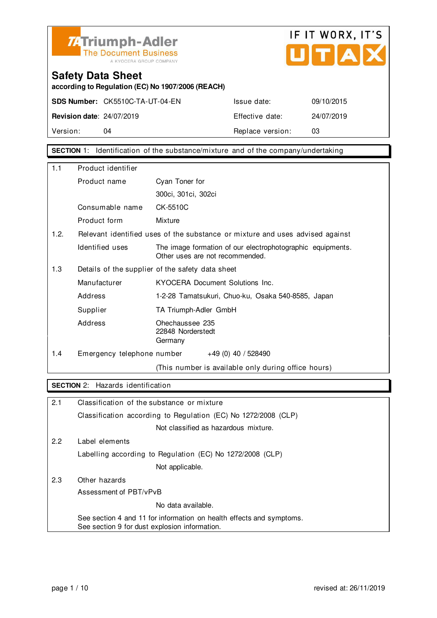



**according to Regulation (EC) No 1907/2006 (REACH)**

**SDS Number:** CK5510C-TA-UT-04-EN Issue date: 09/10/2015

**Revision date**: 24/07/2019 Effective date: 24/07/2019 Version: 04 04 Replace version: 03

**SECTION** 1: Identification of the substance/mixture and of the company/undertaking

| 1.1  | Product identifier                               |                                                                                               |
|------|--------------------------------------------------|-----------------------------------------------------------------------------------------------|
|      | Product name                                     | Cyan Toner for                                                                                |
|      |                                                  | 300ci, 301ci, 302ci                                                                           |
|      | Consumable name                                  | CK-5510C                                                                                      |
|      | Product form                                     | Mixture                                                                                       |
| 1.2. |                                                  | Relevant identified uses of the substance or mixture and uses advised against                 |
|      | Identified uses                                  | The image formation of our electrophotographic equipments.<br>Other uses are not recommended. |
| 1.3  | Details of the supplier of the safety data sheet |                                                                                               |
|      | Manufacturer                                     | KYOCERA Document Solutions Inc.                                                               |
|      | Address                                          | 1-2-28 Tamatsukuri, Chuo-ku, Osaka 540-8585, Japan                                            |
|      | Supplier                                         | TA Triumph-Adler GmbH                                                                         |
|      | Address                                          | Ohechaussee 235<br>22848 Norderstedt<br>Germany                                               |
| 1.4  | Emergency telephone number                       | $+49(0)$ 40 / 528490                                                                          |
|      |                                                  | (This number is available only during office hours)                                           |

#### **SECTION** 2: Hazards identification

| 2.1 | Classification of the substance or mixture                                                                            |
|-----|-----------------------------------------------------------------------------------------------------------------------|
|     | Classification according to Regulation (EC) No 1272/2008 (CLP)                                                        |
|     | Not classified as hazardous mixture.                                                                                  |
| 2.2 | Label elements                                                                                                        |
|     | Labelling according to Regulation (EC) No 1272/2008 (CLP)                                                             |
|     | Not applicable.                                                                                                       |
| 2.3 | Other hazards                                                                                                         |
|     | Assessment of PBT/vPvB                                                                                                |
|     | No data available.                                                                                                    |
|     | See section 4 and 11 for information on health effects and symptoms.<br>See section 9 for dust explosion information. |
|     |                                                                                                                       |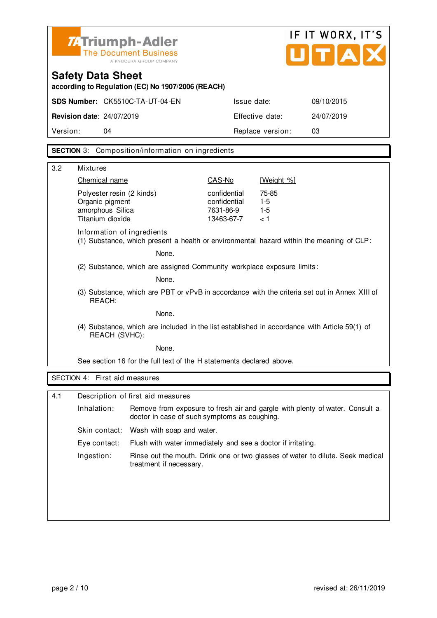| <b>ZATriumph-Adler</b><br>The Document Business |
|-------------------------------------------------|
| A KYOCERA GROUP COMPANY                         |

### **Safety Data Sheet**

**according to Regulation (EC) No 1907/2006 (REACH)**

| Version:                         | 04                                     | Replace version: |            |
|----------------------------------|----------------------------------------|------------------|------------|
|                                  |                                        |                  |            |
| <b>Revision date: 24/07/2019</b> |                                        | Effective date:  | 24/07/2019 |
|                                  | <b>SDS Number: CK5510C-TA-UT-04-EN</b> | Issue date:      | 09/10/2015 |

#### **SECTION** 3: Composition/information on ingredients

| 3.2 | <b>Mixtures</b>                                                                                                |                                                                        |                                                         |                                                                                          |  |
|-----|----------------------------------------------------------------------------------------------------------------|------------------------------------------------------------------------|---------------------------------------------------------|------------------------------------------------------------------------------------------|--|
|     | Chemical name                                                                                                  |                                                                        | CAS-No                                                  | [Weight %]                                                                               |  |
|     | Polyester resin (2 kinds)<br>Organic pigment<br>amorphous Silica<br>Titanium dioxide                           |                                                                        | confidential<br>confidential<br>7631-86-9<br>13463-67-7 | 75-85<br>$1 - 5$<br>$1 - 5$<br>< 1                                                       |  |
|     | Information of ingredients                                                                                     |                                                                        |                                                         | (1) Substance, which present a health or environmental hazard within the meaning of CLP: |  |
|     |                                                                                                                | None.                                                                  |                                                         |                                                                                          |  |
|     |                                                                                                                | (2) Substance, which are assigned Community workplace exposure limits: |                                                         |                                                                                          |  |
|     |                                                                                                                | None.                                                                  |                                                         |                                                                                          |  |
|     | (3) Substance, which are PBT or vPvB in accordance with the criteria set out in Annex XIII of<br>REACH:        |                                                                        |                                                         |                                                                                          |  |
|     | None.                                                                                                          |                                                                        |                                                         |                                                                                          |  |
|     | (4) Substance, which are included in the list established in accordance with Article 59(1) of<br>REACH (SVHC): |                                                                        |                                                         |                                                                                          |  |
|     | None.                                                                                                          |                                                                        |                                                         |                                                                                          |  |
|     | See section 16 for the full text of the H statements declared above.                                           |                                                                        |                                                         |                                                                                          |  |
|     | SECTION 4: First aid measures                                                                                  |                                                                        |                                                         |                                                                                          |  |
|     |                                                                                                                |                                                                        |                                                         |                                                                                          |  |
| 4.1 |                                                                                                                | Description of first aid measures                                      |                                                         |                                                                                          |  |
|     | Inhalation:                                                                                                    | doctor in case of such symptoms as coughing.                           |                                                         | Remove from exposure to fresh air and gargle with plenty of water. Consult a             |  |
|     | Skin contact:                                                                                                  | Wash with soap and water.                                              |                                                         |                                                                                          |  |
|     | Eye contact:                                                                                                   | Flush with water immediately and see a doctor if irritating.           |                                                         |                                                                                          |  |
|     | Ingestion:                                                                                                     | treatment if necessary.                                                |                                                         | Rinse out the mouth. Drink one or two glasses of water to dilute. Seek medical           |  |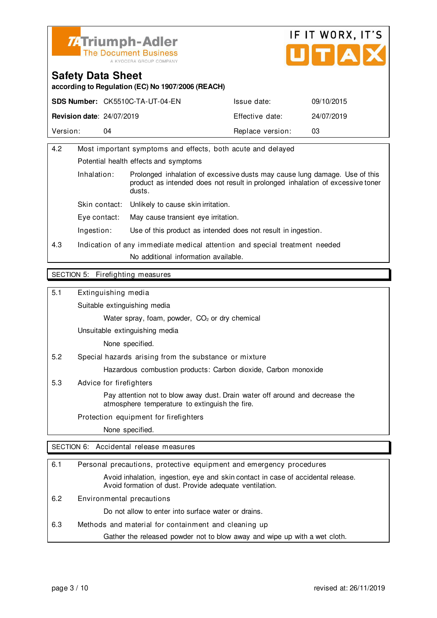



**according to Regulation (EC) No 1907/2006 (REACH)**

|                                  | <b>SDS Number: CK5510C-TA-UT-04-EN</b> | Issue date:      | 09/10/2015 |
|----------------------------------|----------------------------------------|------------------|------------|
| <b>Revision date: 24/07/2019</b> |                                        | Effective date:  | 24/07/2019 |
| Version:                         | 04                                     | Replace version: | 03         |

| 4.2                   | Most important symptoms and effects, both acute and delayed                |                                                                                                                                                              |  |
|-----------------------|----------------------------------------------------------------------------|--------------------------------------------------------------------------------------------------------------------------------------------------------------|--|
|                       | Potential health effects and symptoms                                      |                                                                                                                                                              |  |
| Inhalation:<br>dusts. |                                                                            | Prolonged inhalation of excessive dusts may cause lung damage. Use of this<br>product as intended does not result in prolonged inhalation of excessive toner |  |
|                       | Skin contact:                                                              | Unlikely to cause skin irritation.                                                                                                                           |  |
|                       | Eve contact:                                                               | May cause transient eye irritation.                                                                                                                          |  |
|                       | Ingestion:                                                                 | Use of this product as intended does not result in ingestion.                                                                                                |  |
| 4.3                   | Indication of any immediate medical attention and special treatment needed |                                                                                                                                                              |  |
|                       |                                                                            | No additional information available.                                                                                                                         |  |
|                       |                                                                            |                                                                                                                                                              |  |

#### SECTION 5: Firefighting measures

5.1 Extinguishing media

Suitable extinguishing media

Water spray, foam, powder, CO<sub>2</sub> or dry chemical

Unsuitable extinguishing media

None specified.

5.2 Special hazards arising from the substance or mixture

Hazardous combustion products: Carbon dioxide, Carbon monoxide

5.3 Advice for firefighters

 Pay attention not to blow away dust. Drain water off around and decrease the atmosphere temperature to extinguish the fire.

Protection equipment for firefighters

None specified.

SECTION 6: Accidental release measures

| 6.1 | Personal precautions, protective equipment and emergency procedures                                                                        |
|-----|--------------------------------------------------------------------------------------------------------------------------------------------|
|     | Avoid inhalation, ingestion, eye and skin contact in case of accidental release.<br>Avoid formation of dust. Provide adequate ventilation. |
| 6.2 | Environmental precautions                                                                                                                  |
|     | Do not allow to enter into surface water or drains.                                                                                        |
| 6.3 | Methods and material for containment and cleaning up                                                                                       |
|     | Gather the released powder not to blow away and wipe up with a wet cloth.                                                                  |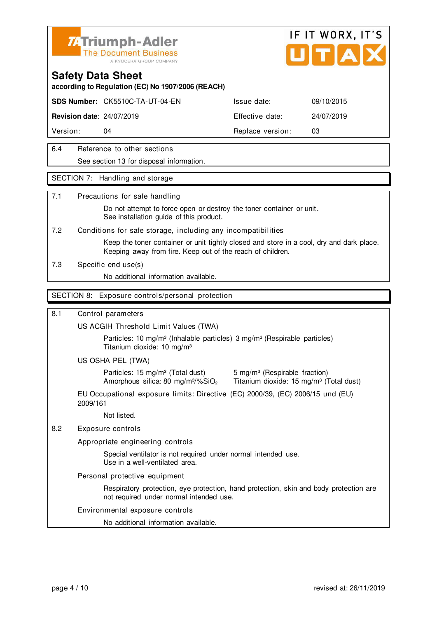



**according to Regulation (EC) No 1907/2006 (REACH)**

**SDS Number:** CK5510C-TA-UT-04-EN Issue date: 09/10/2015

**Revision date**: 24/07/2019 Effective date: 24/07/2019

Version: 04 **Replace version:** 03

6.4 Reference to other sections See section 13 for disposal information.

#### SECTION 7: Handling and storage

#### 7.1 Precautions for safe handling

 Do not attempt to force open or destroy the toner container or unit. See installation guide of this product.

7.2 Conditions for safe storage, including any incompatibilities

 Keep the toner container or unit tightly closed and store in a cool, dry and dark place. Keeping away from fire. Keep out of the reach of children.

7.3 Specific end use(s)

No additional information available.

#### SECTION 8: Exposure controls/personal protection

#### 8.1 Control parameters

US ACGIH Threshold Limit Values (TWA)

Particles: 10 mg/m<sup>3</sup> (Inhalable particles) 3 mg/m<sup>3</sup> (Respirable particles) Titanium dioxide: 10 mg/m³

US OSHA PEL (TWA)

Particles: 15 mg/m<sup>3</sup> (Total dust) 5 mg/m<sup>3</sup> (Respirable fraction)

Amorphous silica: 80 mg/m $3\%$ SiO<sub>2</sub> Titanium dioxide: 15 mg/m $3$  (Total dust)

EU Occupational exposure limits: Directive (EC) 2000/39, (EC) 2006/15 und (EU) 2009/161

Not listed.

#### 8.2 Exposure controls

Appropriate engineering controls

 Special ventilator is not required under normal intended use. Use in a well-ventilated area.

Personal protective equipment

 Respiratory protection, eye protection, hand protection, skin and body protection are not required under normal intended use.

#### Environmental exposure controls

No additional information available.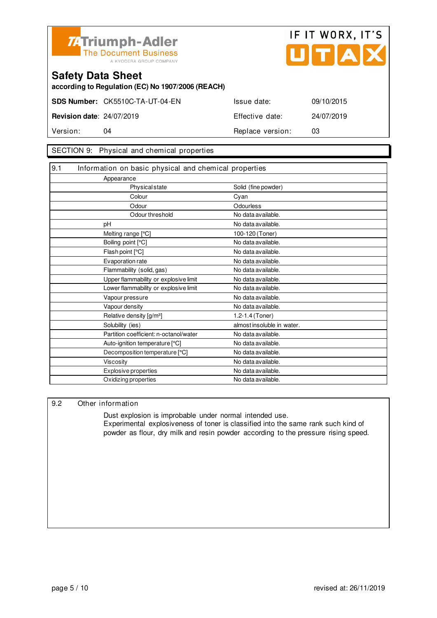



**according to Regulation (EC) No 1907/2006 (REACH)**

|                                  | <b>SDS Number: CK5510C-TA-UT-04-EN</b> | Issue date:      | 09/10/2015 |
|----------------------------------|----------------------------------------|------------------|------------|
| <b>Revision date: 24/07/2019</b> |                                        | Effective date:  | 24/07/2019 |
| Version:                         | 04                                     | Replace version: | 03         |

#### SECTION 9: Physical and chemical properties

| 9.1 | Information on basic physical and chemical properties |                            |
|-----|-------------------------------------------------------|----------------------------|
|     | Appearance                                            |                            |
|     | Physical state                                        | Solid (fine powder)        |
|     | Colour                                                | Cyan                       |
|     | Odour                                                 | Odourless                  |
|     | Odour threshold                                       | No data available.         |
|     | рH                                                    | No data available.         |
|     | Melting range [°C]                                    | 100-120 (Toner)            |
|     | Boiling point [°C]                                    | No data available.         |
|     | Flash point [°C]                                      | No data available.         |
|     | Evaporation rate                                      | No data available.         |
|     | Flammability (solid, gas)                             | No data available.         |
|     | Upper flammability or explosive limit                 | No data available.         |
|     | Lower flammability or explosive limit                 | No data available.         |
|     | Vapour pressure                                       | No data available.         |
|     | Vapour density                                        | No data available.         |
|     | Relative density [g/m <sup>3</sup> ]                  | 1.2-1.4 (Toner)            |
|     | Solubility (ies)                                      | almost insoluble in water. |
|     | Partition coefficient: n-octanol/water                | No data available.         |
|     | Auto-ignition temperature [°C]                        | No data available.         |
|     | Decomposition temperature [°C]                        | No data available.         |
|     | <b>Viscosity</b>                                      | No data available.         |
|     | <b>Explosive properties</b>                           | No data available.         |
|     | Oxidizing properties                                  | No data available.         |

#### 9.2 Other information

 Dust explosion is improbable under normal intended use. Experimental explosiveness of toner is classified into the same rank such kind of powder as flour, dry milk and resin powder according to the pressure rising speed.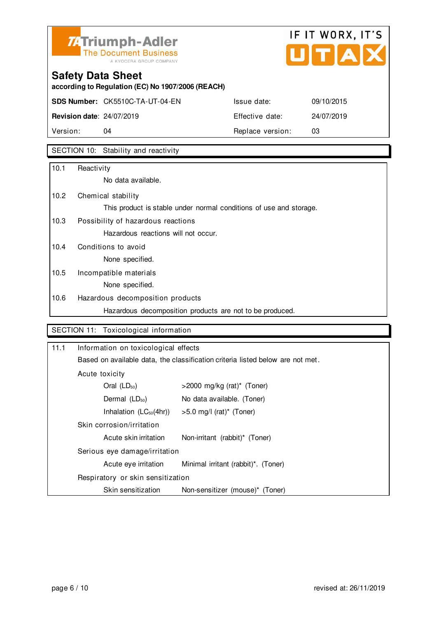

# IF IT WORX, IT'S Ů TIAI

# **Safety Data Sheet**

**according to Regulation (EC) No 1907/2006 (REACH)**

**SDS Number:** CK5510C-TA-UT-04-EN Issue date: 09/10/2015

**Revision date**: 24/07/2019 Effective date: 24/07/2019 Version: 04 04 Replace version: 03

### SECTION 10: Stability and reactivity

| 10.1 | Reactivity                                                         |
|------|--------------------------------------------------------------------|
|      | No data available.                                                 |
| 10.2 | Chemical stability                                                 |
|      | This product is stable under normal conditions of use and storage. |
| 10.3 | Possibility of hazardous reactions                                 |
|      | Hazardous reactions will not occur.                                |
| 10.4 | Conditions to avoid                                                |
|      | None specified.                                                    |
| 10.5 | Incompatible materials                                             |
|      | None specified.                                                    |
| 10.6 | Hazardous decomposition products                                   |
|      | Hazardous decomposition products are not to be produced.           |

#### SECTION 11: Toxicological information

| 11.1 | Information on toxicological effects                                           |                                     |  |
|------|--------------------------------------------------------------------------------|-------------------------------------|--|
|      | Based on available data, the classification criteria listed below are not met. |                                     |  |
|      | Acute toxicity                                                                 |                                     |  |
|      | Oral $(LD_{50})$                                                               | >2000 mg/kg (rat)* (Toner)          |  |
|      | Dermal $(LD_{50})$                                                             | No data available. (Toner)          |  |
|      | Inhalation $(LC_{50}(4hr))$                                                    | >5.0 mg/l (rat)* (Toner)            |  |
|      | Skin corrosion/irritation                                                      |                                     |  |
|      | Acute skin irritation                                                          | Non-irritant (rabbit)* (Toner)      |  |
|      | Serious eye damage/irritation                                                  |                                     |  |
|      | Acute eye irritation                                                           | Minimal irritant (rabbit)*. (Toner) |  |
|      | Respiratory or skin sensitization                                              |                                     |  |
|      | Skin sensitization                                                             | Non-sensitizer (mouse)* (Toner)     |  |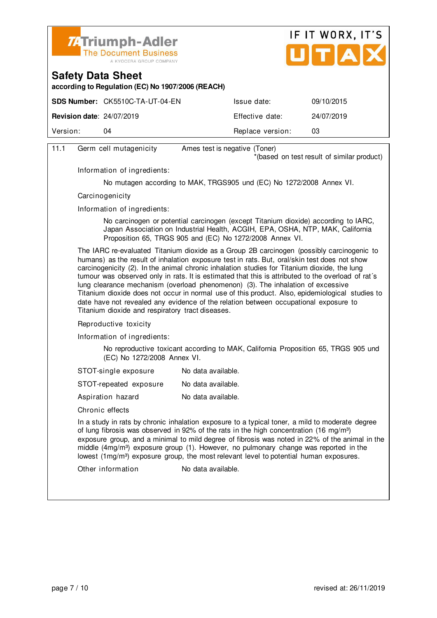



**according to Regulation (EC) No 1907/2006 (REACH)**

|                                  | <b>SDS Number: CK5510C-TA-UT-04-EN</b> | Issue date:      | 09/10/2015 |
|----------------------------------|----------------------------------------|------------------|------------|
| <b>Revision date: 24/07/2019</b> |                                        | Effective date:  | 24/07/2019 |
| Version:                         | 04                                     | Replace version: | 03         |
|                                  |                                        |                  |            |

| 11.1 | Germ cell mutagenicity                           | Ames test is negative (Toner)                                                                                                                                                                                                                                                                                                                                                                                                                                                                                                                                                                                                                                                 |
|------|--------------------------------------------------|-------------------------------------------------------------------------------------------------------------------------------------------------------------------------------------------------------------------------------------------------------------------------------------------------------------------------------------------------------------------------------------------------------------------------------------------------------------------------------------------------------------------------------------------------------------------------------------------------------------------------------------------------------------------------------|
|      |                                                  | *(based on test result of similar product)                                                                                                                                                                                                                                                                                                                                                                                                                                                                                                                                                                                                                                    |
|      | Information of ingredients:                      |                                                                                                                                                                                                                                                                                                                                                                                                                                                                                                                                                                                                                                                                               |
|      |                                                  | No mutagen according to MAK, TRGS905 und (EC) No 1272/2008 Annex VI.                                                                                                                                                                                                                                                                                                                                                                                                                                                                                                                                                                                                          |
|      | Carcinogenicity                                  |                                                                                                                                                                                                                                                                                                                                                                                                                                                                                                                                                                                                                                                                               |
|      | Information of ingredients:                      |                                                                                                                                                                                                                                                                                                                                                                                                                                                                                                                                                                                                                                                                               |
|      |                                                  | No carcinogen or potential carcinogen (except Titanium dioxide) according to IARC,<br>Japan Association on Industrial Health, ACGIH, EPA, OSHA, NTP, MAK, California<br>Proposition 65, TRGS 905 and (EC) No 1272/2008 Annex VI.                                                                                                                                                                                                                                                                                                                                                                                                                                              |
|      | Titanium dioxide and respiratory tract diseases. | The IARC re-evaluated Titanium dioxide as a Group 2B carcinogen (possibly carcinogenic to<br>humans) as the result of inhalation exposure test in rats. But, oral/skin test does not show<br>carcinogenicity (2). In the animal chronic inhalation studies for Titanium dioxide, the lung<br>tumour was observed only in rats. It is estimated that this is attributed to the overload of rat's<br>lung clearance mechanism (overload phenomenon) (3). The inhalation of excessive<br>Titanium dioxide does not occur in normal use of this product. Also, epidemiological studies to<br>date have not revealed any evidence of the relation between occupational exposure to |
|      | Reproductive toxicity                            |                                                                                                                                                                                                                                                                                                                                                                                                                                                                                                                                                                                                                                                                               |
|      | Information of ingredients:                      |                                                                                                                                                                                                                                                                                                                                                                                                                                                                                                                                                                                                                                                                               |
|      | (EC) No 1272/2008 Annex VI.                      | No reproductive toxicant according to MAK, California Proposition 65, TRGS 905 und                                                                                                                                                                                                                                                                                                                                                                                                                                                                                                                                                                                            |
|      | STOT-single exposure                             | No data available.                                                                                                                                                                                                                                                                                                                                                                                                                                                                                                                                                                                                                                                            |
|      | STOT-repeated exposure                           | No data available.                                                                                                                                                                                                                                                                                                                                                                                                                                                                                                                                                                                                                                                            |
|      | Aspiration hazard                                | No data available.                                                                                                                                                                                                                                                                                                                                                                                                                                                                                                                                                                                                                                                            |
|      | Chronic effects                                  |                                                                                                                                                                                                                                                                                                                                                                                                                                                                                                                                                                                                                                                                               |
|      |                                                  | In a study in rats by chronic inhalation exposure to a typical toner, a mild to moderate degree<br>of lung fibrosis was observed in 92% of the rats in the high concentration (16 mg/m <sup>3</sup> )<br>exposure group, and a minimal to mild degree of fibrosis was noted in 22% of the animal in the<br>middle (4mg/m <sup>3</sup> ) exposure group (1). However, no pulmonary change was reported in the<br>lowest (1mg/m <sup>3</sup> ) exposure group, the most relevant level to potential human exposures.                                                                                                                                                            |
|      | Other information                                | No data available.                                                                                                                                                                                                                                                                                                                                                                                                                                                                                                                                                                                                                                                            |
|      |                                                  |                                                                                                                                                                                                                                                                                                                                                                                                                                                                                                                                                                                                                                                                               |
|      |                                                  |                                                                                                                                                                                                                                                                                                                                                                                                                                                                                                                                                                                                                                                                               |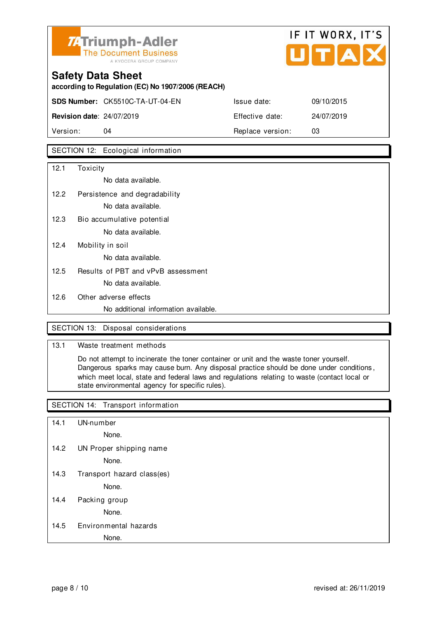

# **Safety Data Sheet according to Regulation (EC) No 1907/2006 (REACH) SDS Number:** CK5510C-TA-UT-04-EN Issue date: 09/10/2015 **Revision date**: 24/07/2019 Effective date: 24/07/2019

Version: 04 **Replace version:** 03

#### SECTION 12: Ecological information

| 12.1 | Toxicity                             |
|------|--------------------------------------|
|      | No data available.                   |
| 12.2 | Persistence and degradability        |
|      | No data available.                   |
| 12.3 | Bio accumulative potential           |
|      | No data available.                   |
| 12.4 | Mobility in soil                     |
|      | No data available.                   |
| 12.5 | Results of PBT and vPvB assessment   |
|      | No data available.                   |
| 12.6 | Other adverse effects                |
|      | No additional information available. |

#### SECTION 13: Disposal considerations

#### 13.1 Waste treatment methods

 Do not attempt to incinerate the toner container or unit and the waste toner yourself. Dangerous sparks may cause burn. Any disposal practice should be done under conditions , which meet local, state and federal laws and regulations relating to waste (contact local or state environmental agency for specific rules).

#### SECTION 14: Transport information

- 14.1 UN-number
	- None.
- 14.2 UN Proper shipping name

None.

14.3 Transport hazard class(es)

None.

14.4 Packing group

None.

14.5 Environmental hazards

None.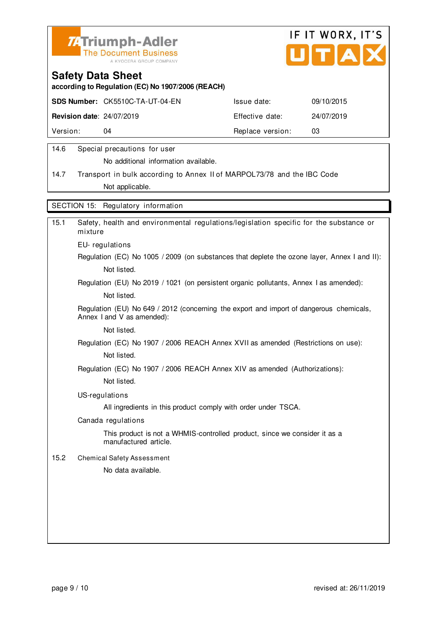



**according to Regulation (EC) No 1907/2006 (REACH)**

|                                  | <b>SDS Number: CK5510C-TA-UT-04-EN</b> | Issue date:      | 09/10/2015 |
|----------------------------------|----------------------------------------|------------------|------------|
| <b>Revision date: 24/07/2019</b> |                                        | Effective date:  | 24/07/2019 |
| Version:                         | 04                                     | Replace version: | 03         |
|                                  |                                        |                  |            |

#### 14.6 Special precautions for user

No additional information available.

14.7 Transport in bulk according to Annex II of MARPOL73/78 and the IBC Code Not applicable.

SECTION 15: Regulatory information

| Safety, health and environmental regulations/legislation specific for the substance or<br>mixture                     |
|-----------------------------------------------------------------------------------------------------------------------|
| EU-regulations                                                                                                        |
| Regulation (EC) No 1005 / 2009 (on substances that deplete the ozone layer, Annex I and II):                          |
| Not listed.                                                                                                           |
| Regulation (EU) No 2019 / 1021 (on persistent organic pollutants, Annex I as amended):                                |
| Not listed.                                                                                                           |
| Regulation (EU) No 649 / 2012 (concerning the export and import of dangerous chemicals,<br>Annex I and V as amended): |
| Not listed.                                                                                                           |
| Regulation (EC) No 1907 / 2006 REACH Annex XVII as amended (Restrictions on use):                                     |
| Not listed.                                                                                                           |
| Regulation (EC) No 1907 / 2006 REACH Annex XIV as amended (Authorizations):                                           |
| Not listed.                                                                                                           |
| US-regulations                                                                                                        |
| All ingredients in this product comply with order under TSCA.                                                         |
| Canada regulations                                                                                                    |
| This product is not a WHMIS-controlled product, since we consider it as a<br>manufactured article.                    |
| <b>Chemical Safety Assessment</b>                                                                                     |
| No data available.                                                                                                    |
|                                                                                                                       |
|                                                                                                                       |
|                                                                                                                       |
|                                                                                                                       |
|                                                                                                                       |
|                                                                                                                       |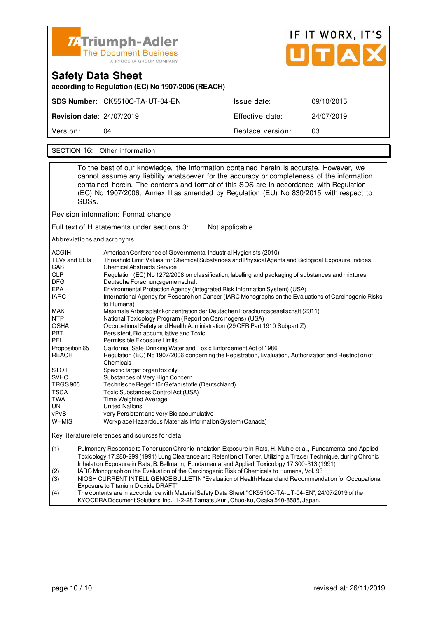

| Safety Data Sheet<br>according to Regulation (EC) No 1907/2006 (REACH) |                                        |                  |            |  |
|------------------------------------------------------------------------|----------------------------------------|------------------|------------|--|
|                                                                        | <b>SDS Number:</b> CK5510C-TA-UT-04-EN | Issue date:      | 09/10/2015 |  |
| <b>Revision date: 24/07/2019</b>                                       |                                        | Effective date:  | 24/07/2019 |  |
| Version:                                                               | 04                                     | Replace version: | 03         |  |
|                                                                        |                                        |                  |            |  |

SECTION 16: Other information

|                                                                                            | SDSs.                                                                                                                                                                                                                                                                                                                                                                                                                                                                                                                                       | To the best of our knowledge, the information contained herein is accurate. However, we<br>cannot assume any liability whatsoever for the accuracy or completeness of the information<br>contained herein. The contents and format of this SDS are in accordance with Regulation<br>(EC) No 1907/2006, Annex II as amended by Regulation (EU) No 830/2015 with respect to |  |
|--------------------------------------------------------------------------------------------|---------------------------------------------------------------------------------------------------------------------------------------------------------------------------------------------------------------------------------------------------------------------------------------------------------------------------------------------------------------------------------------------------------------------------------------------------------------------------------------------------------------------------------------------|---------------------------------------------------------------------------------------------------------------------------------------------------------------------------------------------------------------------------------------------------------------------------------------------------------------------------------------------------------------------------|--|
|                                                                                            |                                                                                                                                                                                                                                                                                                                                                                                                                                                                                                                                             | Revision information: Format change                                                                                                                                                                                                                                                                                                                                       |  |
|                                                                                            |                                                                                                                                                                                                                                                                                                                                                                                                                                                                                                                                             | Full text of H statements under sections 3:<br>Not applicable                                                                                                                                                                                                                                                                                                             |  |
|                                                                                            |                                                                                                                                                                                                                                                                                                                                                                                                                                                                                                                                             | Abbreviations and acronyms                                                                                                                                                                                                                                                                                                                                                |  |
| ACGIH<br>TLVs and BEIs<br>CAS<br><b>CLP</b><br>DFG<br>EPA<br>IARC                          | American Conference of Governmental Industrial Hygienists (2010)<br>Threshold Limit Values for Chemical Substances and Physical Agents and Biological Exposure Indices<br><b>Chemical Abstracts Service</b><br>Regulation (EC) No 1272/2008 on classification, labelling and packaging of substances and mixtures<br>Deutsche Forschungsgemeinschaft<br>Environmental Protection Agency (Integrated Risk Information System) (USA)<br>International Agency for Research on Cancer (IARC Monographs on the Evaluations of Carcinogenic Risks |                                                                                                                                                                                                                                                                                                                                                                           |  |
| MAK<br>NTP<br>OSHA<br>PBT<br>PEL                                                           |                                                                                                                                                                                                                                                                                                                                                                                                                                                                                                                                             | to Humans)<br>Maximale Arbeitsplatzkonzentration der Deutschen Forschungsgesellschaft (2011)<br>National Toxicology Program (Report on Carcinogens) (USA)<br>Occupational Safety and Health Administration (29 CFR Part 1910 Subpart Z)<br>Persistent, Bio accumulative and Toxic<br>Permissible Exposure Limits                                                          |  |
| REACH                                                                                      | Proposition 65<br>California, Safe Drinking Water and Toxic Enforcement Act of 1986<br>Regulation (EC) No 1907/2006 concerning the Registration, Evaluation, Authorization and Restriction of<br>Chemicals                                                                                                                                                                                                                                                                                                                                  |                                                                                                                                                                                                                                                                                                                                                                           |  |
| STOT<br><b>SVHC</b><br><b>TRGS 905</b><br><b>TSCA</b><br>TWA<br>UN<br>vPvB<br><b>WHMIS</b> |                                                                                                                                                                                                                                                                                                                                                                                                                                                                                                                                             | Specific target organ toxicity<br>Substances of Very High Concern<br>Technische Regeln für Gefahrstoffe (Deutschland)<br>Toxic Substances Control Act (USA)<br>Time Weighted Average<br><b>United Nations</b><br>very Persistent and very Bio accumulative<br>Workplace Hazardous Materials Information System (Canada)                                                   |  |
|                                                                                            |                                                                                                                                                                                                                                                                                                                                                                                                                                                                                                                                             | Key literature references and sources for data                                                                                                                                                                                                                                                                                                                            |  |
| (1)                                                                                        | Pulmonary Response to Toner upon Chronic Inhalation Exposure in Rats, H. Muhle et al., Fundamental and Applied<br>Toxicology 17.280-299 (1991) Lung Clearance and Retention of Toner, Utilizing a Tracer Technique, during Chronic<br>Inhalation Exposure in Rats, B. Bellmann, Fundamental and Applied Toxicology 17.300-313 (1991)                                                                                                                                                                                                        |                                                                                                                                                                                                                                                                                                                                                                           |  |
| (2)<br>(3)                                                                                 |                                                                                                                                                                                                                                                                                                                                                                                                                                                                                                                                             | IARC Monograph on the Evaluation of the Carcinogenic Risk of Chemicals to Humans, Vol. 93<br>NIOSH CURRENT INTELLIGENCE BULLETIN "Evaluation of Health Hazard and Recommendation for Occupational                                                                                                                                                                         |  |
| (4)                                                                                        | Exposure to Titanium Dioxide DRAFT"<br>The contents are in accordance with Material Safety Data Sheet "CK5510C-TA-UT-04-EN"; 24/07/2019 of the<br>KYOCERA Document Solutions Inc., 1-2-28 Tamatsukuri, Chuo-ku, Osaka 540-8585, Japan.                                                                                                                                                                                                                                                                                                      |                                                                                                                                                                                                                                                                                                                                                                           |  |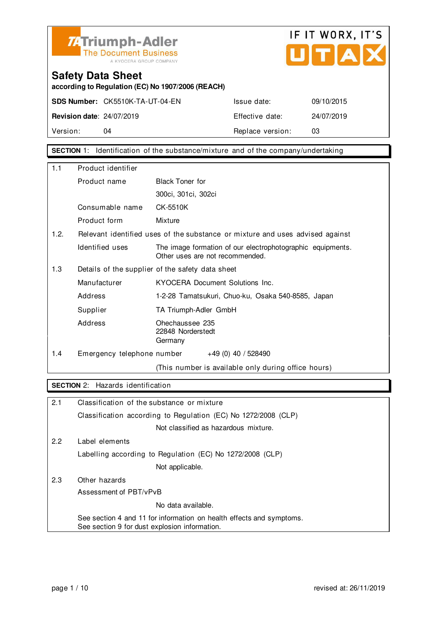



**according to Regulation (EC) No 1907/2006 (REACH)**

**SDS Number:** CK5510K-TA-UT-04-EN Issue date: 09/10/2015

**Revision date**: 24/07/2019 Effective date: 24/07/2019 Version: 04 04 Replace version: 03

**SECTION** 1: Identification of the substance/mixture and of the company/undertaking

| 1.1  | Product identifier                               |                                                                                               |
|------|--------------------------------------------------|-----------------------------------------------------------------------------------------------|
|      | Product name                                     | <b>Black Toner for</b>                                                                        |
|      |                                                  | 300ci, 301ci, 302ci                                                                           |
|      | Consumable name                                  | CK-5510K                                                                                      |
|      | Product form                                     | Mixture                                                                                       |
| 1.2. |                                                  | Relevant identified uses of the substance or mixture and uses advised against                 |
|      | Identified uses                                  | The image formation of our electrophotographic equipments.<br>Other uses are not recommended. |
| 1.3  | Details of the supplier of the safety data sheet |                                                                                               |
|      | Manufacturer                                     | KYOCERA Document Solutions Inc.                                                               |
|      | Address                                          | 1-2-28 Tamatsukuri, Chuo-ku, Osaka 540-8585, Japan                                            |
|      | Supplier                                         | TA Triumph-Adler GmbH                                                                         |
|      | Address                                          | Ohechaussee 235<br>22848 Norderstedt<br>Germany                                               |
| 1.4  | Emergency telephone number                       | $+49(0)$ 40 / 528490                                                                          |
|      |                                                  | (This number is available only during office hours)                                           |

#### **SECTION** 2: Hazards identification

| 2.1 | Classification of the substance or mixture                                                                            |
|-----|-----------------------------------------------------------------------------------------------------------------------|
|     | Classification according to Regulation (EC) No 1272/2008 (CLP)                                                        |
|     | Not classified as hazardous mixture.                                                                                  |
| 2.2 | Label elements                                                                                                        |
|     | Labelling according to Regulation (EC) No 1272/2008 (CLP)                                                             |
|     | Not applicable.                                                                                                       |
| 2.3 | Other hazards                                                                                                         |
|     | Assessment of PBT/vPvB                                                                                                |
|     | No data available.                                                                                                    |
|     | See section 4 and 11 for information on health effects and symptoms.<br>See section 9 for dust explosion information. |
|     |                                                                                                                       |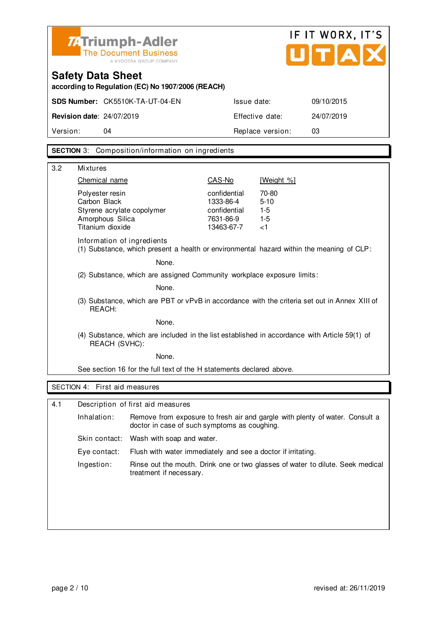

# IF IT WORX, IT'S UTAX

### **Safety Data Sheet**

**according to Regulation (EC) No 1907/2006 (REACH)**

| Version:                         | 04                              | Replace version: | 03         |
|----------------------------------|---------------------------------|------------------|------------|
| <b>Revision date: 24/07/2019</b> |                                 | Effective date:  | 24/07/2019 |
|                                  | SDS Number: CK5510K-TA-UT-04-EN | Issue date:      | 09/10/2015 |

#### **SECTION** 3: Composition/information on ingredients

| 3.2 | <b>Mixtures</b>                                                                                                        |                                                                      |                                              |  |
|-----|------------------------------------------------------------------------------------------------------------------------|----------------------------------------------------------------------|----------------------------------------------|--|
|     | Chemical name                                                                                                          | CAS-No                                                               | [Weight %]                                   |  |
|     | Polyester resin<br>Carbon Black<br>Styrene acrylate copolymer<br>Amorphous Silica<br>Titanium dioxide                  | confidential<br>1333-86-4<br>confidential<br>7631-86-9<br>13463-67-7 | 70-80<br>$5 - 10$<br>$1-5$<br>$1-5$<br>$<$ 1 |  |
|     | Information of ingredients<br>(1) Substance, which present a health or environmental hazard within the meaning of CLP: |                                                                      |                                              |  |
|     | None.                                                                                                                  |                                                                      |                                              |  |
|     | (2) Substance, which are assigned Community workplace exposure limits:                                                 |                                                                      |                                              |  |
|     | None.                                                                                                                  |                                                                      |                                              |  |
|     | (3) Substance, which are PBT or vPvB in accordance with the criteria set out in Annex XIII of<br>REACH:                |                                                                      |                                              |  |
|     | None.                                                                                                                  |                                                                      |                                              |  |
|     | (4) Substance, which are included in the list established in accordance with Article 59(1) of<br>REACH (SVHC):         |                                                                      |                                              |  |
|     | None.                                                                                                                  |                                                                      |                                              |  |
|     | See section 16 for the full text of the H statements declared above.                                                   |                                                                      |                                              |  |
|     | SECTION 4: First aid measures                                                                                          |                                                                      |                                              |  |
|     |                                                                                                                        |                                                                      |                                              |  |
| 4.1 | Description of first aid measures                                                                                      |                                                                      |                                              |  |

| Inhalation:   | Remove from exposure to fresh air and gargle with plenty of water. Consult a<br>doctor in case of such symptoms as coughing. |
|---------------|------------------------------------------------------------------------------------------------------------------------------|
| Skin contact: | Wash with soap and water.                                                                                                    |
| Eye contact:  | Flush with water immediately and see a doctor if irritating.                                                                 |
| Ingestion:    | Rinse out the mouth. Drink one or two glasses of water to dilute. Seek medical<br>treatment if necessary.                    |
|               |                                                                                                                              |
|               |                                                                                                                              |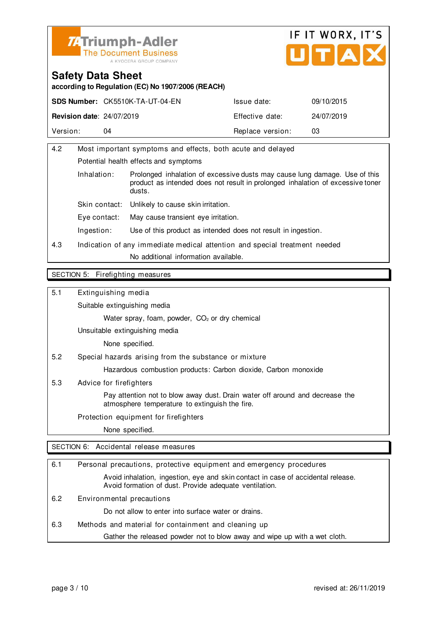



**according to Regulation (EC) No 1907/2006 (REACH)**

|                                  | <b>SDS Number: CK5510K-TA-UT-04-EN</b> | Issue date:      | 09/10/2015 |
|----------------------------------|----------------------------------------|------------------|------------|
| <b>Revision date: 24/07/2019</b> |                                        | Effective date:  | 24/07/2019 |
| Version:                         | 04                                     | Replace version: | 03         |

| 4.2 | Most important symptoms and effects, both acute and delayed                |                                                                                                                                                                        |  |
|-----|----------------------------------------------------------------------------|------------------------------------------------------------------------------------------------------------------------------------------------------------------------|--|
|     | Potential health effects and symptoms                                      |                                                                                                                                                                        |  |
|     | Inhalation:                                                                | Prolonged inhalation of excessive dusts may cause lung damage. Use of this<br>product as intended does not result in prolonged inhalation of excessive toner<br>dusts. |  |
|     | Skin contact:                                                              | Unlikely to cause skin irritation.                                                                                                                                     |  |
|     | Eye contact:                                                               | May cause transient eye irritation.                                                                                                                                    |  |
|     | Ingestion:                                                                 | Use of this product as intended does not result in ingestion.                                                                                                          |  |
| 4.3 | Indication of any immediate medical attention and special treatment needed |                                                                                                                                                                        |  |
|     |                                                                            | No additional information available.                                                                                                                                   |  |
|     |                                                                            |                                                                                                                                                                        |  |

#### SECTION 5: Firefighting measures

5.1 Extinguishing media

Suitable extinguishing media

Water spray, foam, powder, CO<sub>2</sub> or dry chemical

Unsuitable extinguishing media

None specified.

5.2 Special hazards arising from the substance or mixture

Hazardous combustion products: Carbon dioxide, Carbon monoxide

5.3 Advice for firefighters

 Pay attention not to blow away dust. Drain water off around and decrease the atmosphere temperature to extinguish the fire.

Protection equipment for firefighters

None specified.

SECTION 6: Accidental release measures

| 6.1 | Personal precautions, protective equipment and emergency procedures                                                                        |
|-----|--------------------------------------------------------------------------------------------------------------------------------------------|
|     | Avoid inhalation, ingestion, eye and skin contact in case of accidental release.<br>Avoid formation of dust. Provide adequate ventilation. |
| 6.2 | Environmental precautions                                                                                                                  |
|     | Do not allow to enter into surface water or drains.                                                                                        |
| 6.3 | Methods and material for containment and cleaning up                                                                                       |
|     | Gather the released powder not to blow away and wipe up with a wet cloth.                                                                  |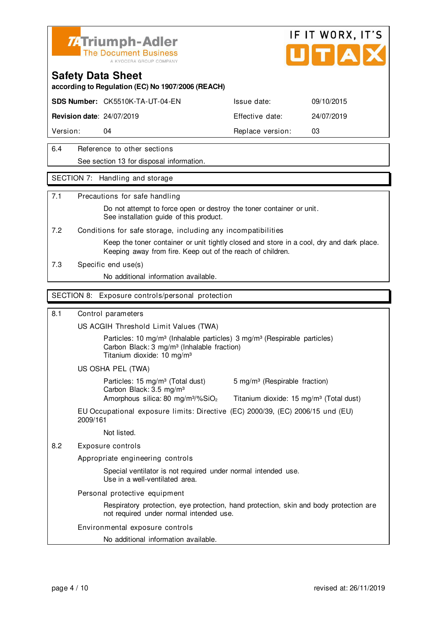



**according to Regulation (EC) No 1907/2006 (REACH)**

**SDS Number:** CK5510K-TA-UT-04-EN Issue date: 09/10/2015

**Revision date**: 24/07/2019 **Effective date:** 24/07/2019

Version: 04 **Replace version:** 03

#### 6.4 Reference to other sections See section 13 for disposal information.

#### SECTION 7: Handling and storage

#### 7.1 Precautions for safe handling

 Do not attempt to force open or destroy the toner container or unit. See installation guide of this product.

7.2 Conditions for safe storage, including any incompatibilities

 Keep the toner container or unit tightly closed and store in a cool, dry and dark place. Keeping away from fire. Keep out of the reach of children.

7.3 Specific end use(s)

No additional information available.

#### SECTION 8: Exposure controls/personal protection

#### 8.1 Control parameters

US ACGIH Threshold Limit Values (TWA)

Particles: 10 mg/m<sup>3</sup> (Inhalable particles) 3 mg/m<sup>3</sup> (Respirable particles) Carbon Black: 3 mg/m³ (Inhalable fraction) Titanium dioxide: 10 mg/m³

US OSHA PEL (TWA)

Particles: 15 mg/m<sup>3</sup> (Total dust) 5 mg/m<sup>3</sup> (Respirable fraction) Carbon Black: 3.5 mg/m³ Amorphous silica: 80 mg/m $\frac{3}{2}$  Titanium dioxide: 15 mg/m $\frac{3}{2}$  (Total dust)

EU Occupational exposure limits: Directive (EC) 2000/39, (EC) 2006/15 und (EU) 2009/161

Not listed.

8.2 Exposure controls

Appropriate engineering controls

 Special ventilator is not required under normal intended use. Use in a well-ventilated area.

Personal protective equipment

 Respiratory protection, eye protection, hand protection, skin and body protection are not required under normal intended use.

Environmental exposure controls

No additional information available.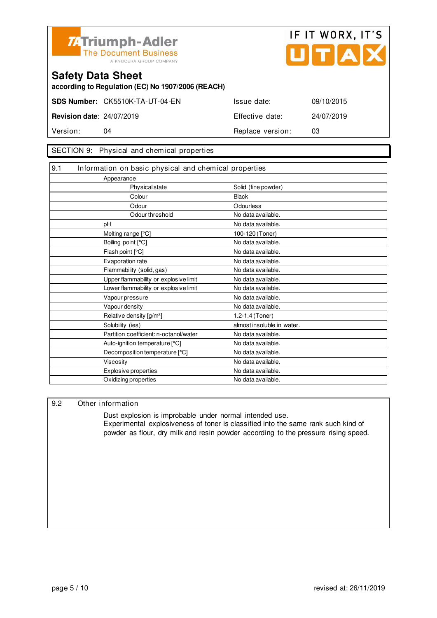



**according to Regulation (EC) No 1907/2006 (REACH)**

**SDS Number:** CK5510K-TA-UT-04-EN Issue date: 09/10/2015 **Revision date**: 24/07/2019 Effective date: 24/07/2019

Version: 04 **Replace version:** 03

#### SECTION 9: Physical and chemical properties

| 9.1 | Information on basic physical and chemical properties |                            |
|-----|-------------------------------------------------------|----------------------------|
|     | Appearance                                            |                            |
|     | <b>Physical state</b>                                 | Solid (fine powder)        |
|     | Colour                                                | <b>Black</b>               |
|     | Odour                                                 | Odourless                  |
|     | Odour threshold                                       | No data available.         |
|     | рH                                                    | No data available.         |
|     | Melting range [°C]                                    | 100-120 (Toner)            |
|     | Boiling point [°C]                                    | No data available.         |
|     | Flash point [°C]                                      | No data available.         |
|     | Evaporation rate                                      | No data available.         |
|     | Flammability (solid, gas)                             | No data available.         |
|     | Upper flammability or explosive limit                 | No data available.         |
|     | Lower flammability or explosive limit                 | No data available.         |
|     | Vapour pressure                                       | No data available.         |
|     | Vapour density                                        | No data available.         |
|     | Relative density [g/m <sup>3</sup> ]                  | 1.2-1.4 (Toner)            |
|     | Solubility (ies)                                      | almost insoluble in water. |
|     | Partition coefficient: n-octanol/water                | No data available.         |
|     | Auto-ignition temperature [°C]                        | No data available.         |
|     | Decomposition temperature [°C]                        | No data available.         |
|     | <b>Viscosity</b>                                      | No data available.         |
|     | <b>Explosive properties</b>                           | No data available.         |
|     | Oxidizing properties                                  | No data available.         |

#### 9.2 Other information

 Dust explosion is improbable under normal intended use. Experimental explosiveness of toner is classified into the same rank such kind of powder as flour, dry milk and resin powder according to the pressure rising speed.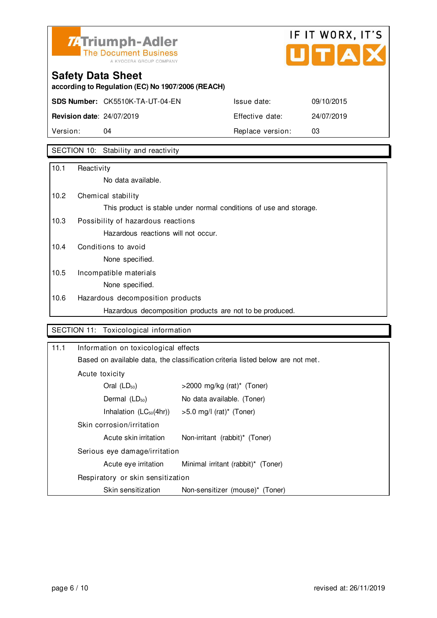

# IF IT WORX, IT'S Ů TIAI

# **Safety Data Sheet**

**according to Regulation (EC) No 1907/2006 (REACH)**

**SDS Number:** CK5510K-TA-UT-04-EN Issue date: 09/10/2015

**Revision date**: 24/07/2019 Effective date: 24/07/2019 Version: 04 04 Replace version: 03

### SECTION 10: Stability and reactivity

| 10.1 | Reactivity                                                         |
|------|--------------------------------------------------------------------|
|      | No data available.                                                 |
| 10.2 | Chemical stability                                                 |
|      | This product is stable under normal conditions of use and storage. |
| 10.3 | Possibility of hazardous reactions                                 |
|      | Hazardous reactions will not occur.                                |
| 10.4 | Conditions to avoid                                                |
|      | None specified.                                                    |
| 10.5 | Incompatible materials                                             |
|      | None specified.                                                    |
| 10.6 | Hazardous decomposition products                                   |
|      | Hazardous decomposition products are not to be produced.           |

#### SECTION 11: Toxicological information

| 11.1                                                                                 | Information on toxicological effects                                                       |                                    |  |
|--------------------------------------------------------------------------------------|--------------------------------------------------------------------------------------------|------------------------------------|--|
|                                                                                      | Based on available data, the classification criteria listed below are not met.             |                                    |  |
|                                                                                      | Acute toxicity                                                                             |                                    |  |
|                                                                                      | Oral $(LD_{50})$<br>$>$ 2000 mg/kg (rat)* (Toner)                                          |                                    |  |
| Dermal $(LD_{50})$<br>No data available. (Toner)                                     |                                                                                            |                                    |  |
|                                                                                      | Inhalation $(LC_{50}(4hr))$                                                                | $>5.0$ mg/l (rat)* (Toner)         |  |
| Skin corrosion/irritation<br>Acute skin irritation<br>Non-irritant (rabbit)* (Toner) |                                                                                            |                                    |  |
|                                                                                      |                                                                                            |                                    |  |
|                                                                                      | Serious eye damage/irritation                                                              |                                    |  |
|                                                                                      | Acute eye irritation                                                                       | Minimal irritant (rabbit)* (Toner) |  |
|                                                                                      | Respiratory or skin sensitization<br>Skin sensitization<br>Non-sensitizer (mouse)* (Toner) |                                    |  |
|                                                                                      |                                                                                            |                                    |  |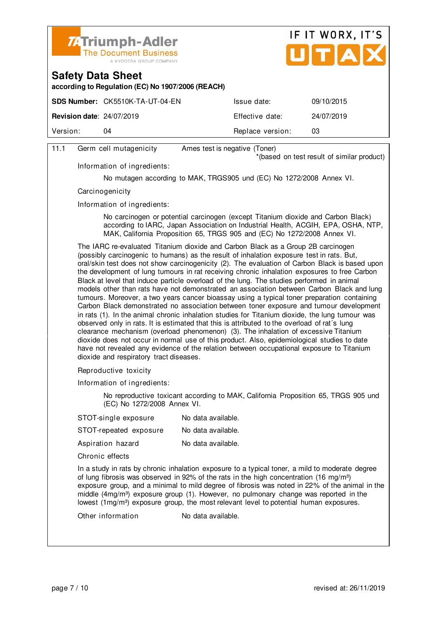



**according to Regulation (EC) No 1907/2006 (REACH)**

|                                  | <b>SDS Number: CK5510K-TA-UT-04-EN</b> | Issue date:      | 09/10/2015 |
|----------------------------------|----------------------------------------|------------------|------------|
| <b>Revision date: 24/07/2019</b> |                                        | Effective date:  | 24/07/2019 |
| Version:                         | 04                                     | Replace version: | 03         |
|                                  |                                        |                  |            |

#### 11.1 Germ cell mutagenicity Ames test is negative (Toner)

\*(based on test result of similar product)

Information of ingredients:

No mutagen according to MAK, TRGS905 und (EC) No 1272/2008 Annex VI.

**Carcinogenicity** 

Information of ingredients:

 No carcinogen or potential carcinogen (except Titanium dioxide and Carbon Black) according to IARC, Japan Association on Industrial Health, ACGIH, EPA, OSHA, NTP, MAK, California Proposition 65, TRGS 905 and (EC) No 1272/2008 Annex VI.

 The IARC re-evaluated Titanium dioxide and Carbon Black as a Group 2B carcinogen (possibly carcinogenic to humans) as the result of inhalation exposure test in rats. But, oral/skin test does not show carcinogenicity (2). The evaluation of Carbon Black is based upon the development of lung tumours in rat receiving chronic inhalation exposures to free Carbon Black at level that induce particle overload of the lung. The studies performed in animal models other than rats have not demonstrated an association between Carbon Black and lung tumours. Moreover, a two years cancer bioassay using a typical toner preparation containing Carbon Black demonstrated no association between toner exposure and tumour development in rats (1). In the animal chronic inhalation studies for Titanium dioxide, the lung tumour was observed only in rats. It is estimated that this is attributed to the overload of rat´s lung clearance mechanism (overload phenomenon) (3). The inhalation of excessive Titanium dioxide does not occur in normal use of this product. Also, epidemiological studies to date have not revealed any evidence of the relation between occupational exposure to Titanium dioxide and respiratory tract diseases.

Reproductive toxicity

Information of ingredients:

 No reproductive toxicant according to MAK, California Proposition 65, TRGS 905 und (EC) No 1272/2008 Annex VI.

| STOT-single exposure                                                                                              | No data available. |
|-------------------------------------------------------------------------------------------------------------------|--------------------|
| STOT-repeated exposure                                                                                            | No data available. |
| Aspiration hazard                                                                                                 | No data available. |
| Chronic effects                                                                                                   |                    |
| In a study in rats by chronic inhalation exposure to a<br>of lung fibroais was obsensed in 00% of the rate in the |                    |

a typical toner, a mild to moderate degree of lung fibrosis was observed in 92% of the rats in the high concentration (16 mg/m<sup>3</sup>) exposure group, and a minimal to mild degree of fibrosis was noted in 22% of the animal in the middle  $(4mg/m<sup>3</sup>)$  exposure group (1). However, no pulmonary change was reported in the lowest  $(1 \text{mq/m}^3)$  exposure group, the most relevant level to potential human exposures.

Other information No data available.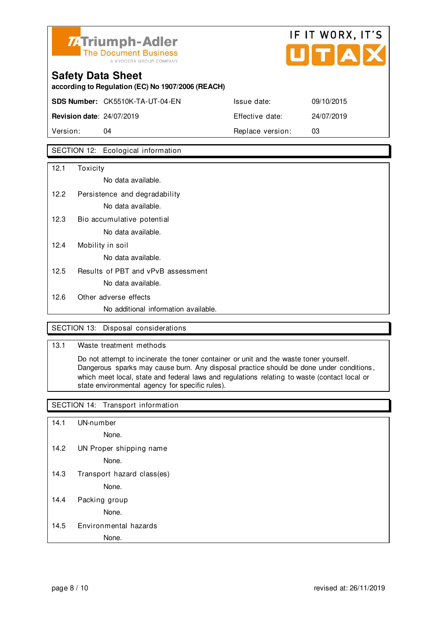

# **Safety Data Sheet according to Regulation (EC) No 1907/2006 (REACH) SDS Number:** CK5510K-TA-UT-04-EN Issue date: 09/10/2015 **Revision date**: 24/07/2019 Effective date: 24/07/2019

Version: 04 **Replace version:** 03

#### SECTION 12: Ecological information

| 12.1 | Toxicity                             |
|------|--------------------------------------|
|      | No data available.                   |
| 12.2 | Persistence and degradability        |
|      | No data available.                   |
| 12.3 | Bio accumulative potential           |
|      | No data available.                   |
| 12.4 | Mobility in soil                     |
|      | No data available.                   |
| 12.5 | Results of PBT and vPvB assessment   |
|      | No data available.                   |
| 12.6 | Other adverse effects                |
|      | No additional information available. |

#### SECTION 13: Disposal considerations

#### 13.1 Waste treatment methods

 Do not attempt to incinerate the toner container or unit and the waste toner yourself. Dangerous sparks may cause burn. Any disposal practice should be done under conditions , which meet local, state and federal laws and regulations relating to waste (contact local or state environmental agency for specific rules).

#### SECTION 14: Transport information

- 14.1 UN-number
	- None.
- 14.2 UN Proper shipping name

None.

14.3 Transport hazard class(es)

None.

14.4 Packing group

None.

14.5 Environmental hazards

None.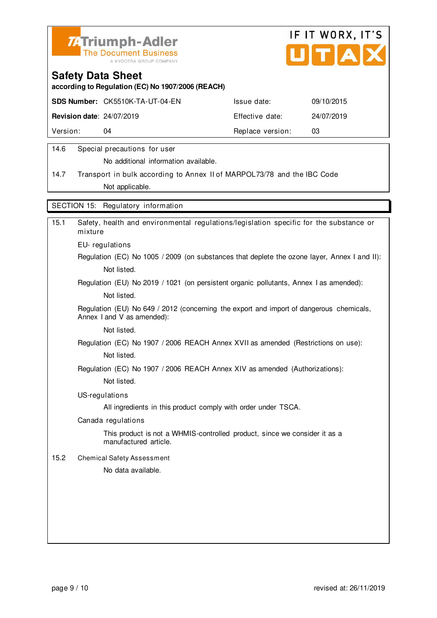



**according to Regulation (EC) No 1907/2006 (REACH)**

|                                  | <b>SDS Number: CK5510K-TA-UT-04-EN</b> | Issue date:      | 09/10/2015 |
|----------------------------------|----------------------------------------|------------------|------------|
| <b>Revision date: 24/07/2019</b> |                                        | Effective date:  | 24/07/2019 |
| Version:                         | 04                                     | Replace version: | 03         |
|                                  |                                        |                  |            |

#### 14.6 Special precautions for user

No additional information available.

14.7 Transport in bulk according to Annex II of MARPOL73/78 and the IBC Code Not applicable.

SECTION 15: Regulatory information

| 15.1 | Safety, health and environmental regulations/legislation specific for the substance or<br>mixture                     |
|------|-----------------------------------------------------------------------------------------------------------------------|
|      | EU-regulations                                                                                                        |
|      | Regulation (EC) No 1005 / 2009 (on substances that deplete the ozone layer, Annex I and II):                          |
|      | Not listed.                                                                                                           |
|      | Regulation (EU) No 2019 / 1021 (on persistent organic pollutants, Annex I as amended):                                |
|      | Not listed.                                                                                                           |
|      | Regulation (EU) No 649 / 2012 (concerning the export and import of dangerous chemicals,<br>Annex I and V as amended): |
|      | Not listed.                                                                                                           |
|      | Regulation (EC) No 1907 / 2006 REACH Annex XVII as amended (Restrictions on use):                                     |
|      | Not listed.                                                                                                           |
|      | Regulation (EC) No 1907 / 2006 REACH Annex XIV as amended (Authorizations):                                           |
|      | Not listed.                                                                                                           |
|      | US-regulations                                                                                                        |
|      | All ingredients in this product comply with order under TSCA.                                                         |
|      | Canada regulations                                                                                                    |
|      | This product is not a WHMIS-controlled product, since we consider it as a<br>manufactured article.                    |
| 15.2 | <b>Chemical Safety Assessment</b>                                                                                     |
|      | No data available.                                                                                                    |
|      |                                                                                                                       |
|      |                                                                                                                       |
|      |                                                                                                                       |
|      |                                                                                                                       |
|      |                                                                                                                       |
|      |                                                                                                                       |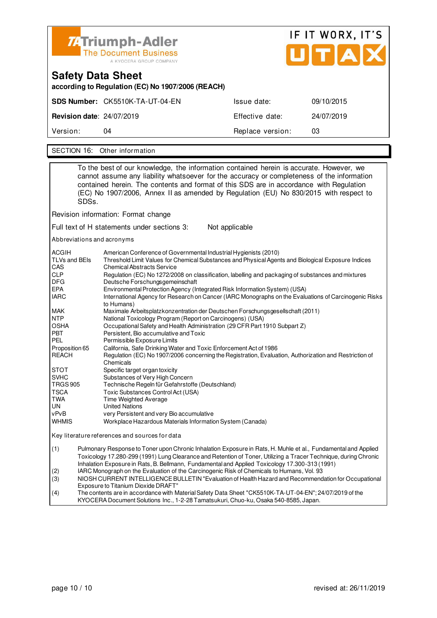

| Safety Data Sheet<br>according to Regulation (EC) No 1907/2006 (REACH) |                                 |                  |            |  |
|------------------------------------------------------------------------|---------------------------------|------------------|------------|--|
|                                                                        | SDS Number: CK5510K-TA-UT-04-EN | Issue date:      | 09/10/2015 |  |
| <b>Revision date: 24/07/2019</b>                                       |                                 | Effective date:  | 24/07/2019 |  |
| Version:                                                               | 04                              | Replace version: | 03         |  |
|                                                                        |                                 |                  |            |  |

SECTION 16: Other information

|                                        |                                                                                                                                                                                                                                                                                                                                      | To the best of our knowledge, the information contained herein is accurate. However, we                                                                                                                                                                                        |  |
|----------------------------------------|--------------------------------------------------------------------------------------------------------------------------------------------------------------------------------------------------------------------------------------------------------------------------------------------------------------------------------------|--------------------------------------------------------------------------------------------------------------------------------------------------------------------------------------------------------------------------------------------------------------------------------|--|
|                                        | SDSs.                                                                                                                                                                                                                                                                                                                                | cannot assume any liability whatsoever for the accuracy or completeness of the information<br>contained herein. The contents and format of this SDS are in accordance with Regulation<br>(EC) No 1907/2006, Annex II as amended by Regulation (EU) No 830/2015 with respect to |  |
|                                        |                                                                                                                                                                                                                                                                                                                                      | Revision information: Format change                                                                                                                                                                                                                                            |  |
|                                        |                                                                                                                                                                                                                                                                                                                                      | Full text of H statements under sections 3:<br>Not applicable                                                                                                                                                                                                                  |  |
|                                        |                                                                                                                                                                                                                                                                                                                                      | Abbreviations and acronyms                                                                                                                                                                                                                                                     |  |
| ACGIH<br>TLVs and BEIs<br>CAS          |                                                                                                                                                                                                                                                                                                                                      | American Conference of Governmental Industrial Hygienists (2010)<br>Threshold Limit Values for Chemical Substances and Physical Agents and Biological Exposure Indices<br><b>Chemical Abstracts Service</b>                                                                    |  |
| <b>CLP</b><br>DFG                      |                                                                                                                                                                                                                                                                                                                                      | Regulation (EC) No 1272/2008 on classification, labelling and packaging of substances and mixtures<br>Deutsche Forschungsgemeinschaft                                                                                                                                          |  |
| <b>EPA</b><br>IARC                     |                                                                                                                                                                                                                                                                                                                                      | Environmental Protection Agency (Integrated Risk Information System) (USA)<br>International Agency for Research on Cancer (IARC Monographs on the Evaluations of Carcinogenic Risks<br>to Humans)                                                                              |  |
| MAK<br><b>NTP</b>                      |                                                                                                                                                                                                                                                                                                                                      | Maximale Arbeitsplatzkonzentration der Deutschen Forschungsgesellschaft (2011)<br>National Toxicology Program (Report on Carcinogens) (USA)                                                                                                                                    |  |
| <b>OSHA</b><br><b>PBT</b><br>PEL       |                                                                                                                                                                                                                                                                                                                                      | Occupational Safety and Health Administration (29 CFR Part 1910 Subpart Z)<br>Persistent, Bio accumulative and Toxic<br>Permissible Exposure Limits                                                                                                                            |  |
| Proposition 65<br><b>REACH</b>         |                                                                                                                                                                                                                                                                                                                                      | California, Safe Drinking Water and Toxic Enforcement Act of 1986<br>Regulation (EC) No 1907/2006 concerning the Registration, Evaluation, Authorization and Restriction of<br>Chemicals                                                                                       |  |
| <b>STOT</b><br>SVHC<br><b>TRGS 905</b> |                                                                                                                                                                                                                                                                                                                                      | Specific target organ toxicity<br>Substances of Very High Concern<br>Technische Regeln für Gefahrstoffe (Deutschland)                                                                                                                                                          |  |
| TSCA<br>TWA<br>UN                      |                                                                                                                                                                                                                                                                                                                                      | Toxic Substances Control Act (USA)<br>Time Weighted Average<br>United Nations                                                                                                                                                                                                  |  |
| vPvB<br><b>WHMIS</b>                   |                                                                                                                                                                                                                                                                                                                                      | very Persistent and very Bio accumulative<br>Workplace Hazardous Materials Information System (Canada)                                                                                                                                                                         |  |
|                                        |                                                                                                                                                                                                                                                                                                                                      | Key literature references and sources for data                                                                                                                                                                                                                                 |  |
| (1)                                    | Pulmonary Response to Toner upon Chronic Inhalation Exposure in Rats, H. Muhle et al., Fundamental and Applied<br>Toxicology 17.280-299 (1991) Lung Clearance and Retention of Toner, Utilizing a Tracer Technique, during Chronic<br>Inhalation Exposure in Rats, B. Bellmann, Fundamental and Applied Toxicology 17.300-313 (1991) |                                                                                                                                                                                                                                                                                |  |
| (2)<br>(3)                             | IARC Monograph on the Evaluation of the Carcinogenic Risk of Chemicals to Humans, Vol. 93<br>NIOSH CURRENT INTELLIGENCE BULLETIN "Evaluation of Health Hazard and Recommendation for Occupational<br>Exposure to Titanium Dioxide DRAFT"                                                                                             |                                                                                                                                                                                                                                                                                |  |
| $\overline{1}$                         |                                                                                                                                                                                                                                                                                                                                      | $1.101107 + 0.01$ $101/55401/78117 - 0.15111 - 0.10710040$ $1.1$                                                                                                                                                                                                               |  |

(4) The contents are in accordance with Material Safety Data Sheet "CK5510K-TA-UT-04-EN"; 24/07/2019 of the KYOCERA Document Solutions Inc., 1-2-28 Tamatsukuri, Chuo-ku, Osaka 540-8585, Japan.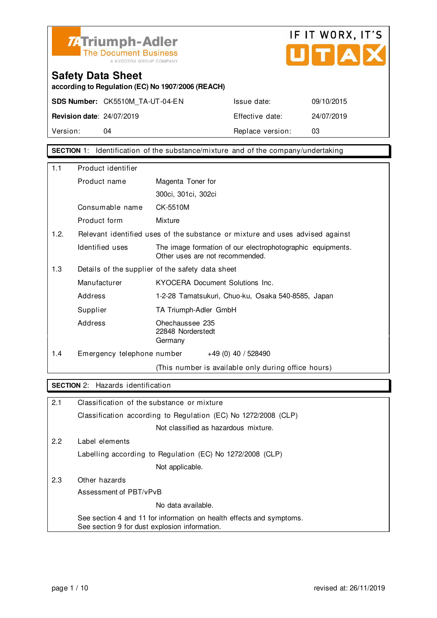



**according to Regulation (EC) No 1907/2006 (REACH)**

**SDS Number:** CK5510M\_TA-UT-04-EN Issue date: 09/10/2015

**Revision date**: 24/07/2019 Effective date: 24/07/2019 Version: 04 04 Replace version: 03

**SECTION** 1: Identification of the substance/mixture and of the company/undertaking

| 1.1  | Product identifier                               |                                                                                               |  |  |
|------|--------------------------------------------------|-----------------------------------------------------------------------------------------------|--|--|
|      | Product name                                     | Magenta Toner for                                                                             |  |  |
|      |                                                  | 300ci, 301ci, 302ci                                                                           |  |  |
|      | Consumable name                                  | CK-5510M                                                                                      |  |  |
|      | Product form                                     | Mixture                                                                                       |  |  |
| 1.2. |                                                  | Relevant identified uses of the substance or mixture and uses advised against                 |  |  |
|      | Identified uses                                  | The image formation of our electrophotographic equipments.<br>Other uses are not recommended. |  |  |
| 1.3  | Details of the supplier of the safety data sheet |                                                                                               |  |  |
|      | Manufacturer                                     | KYOCERA Document Solutions Inc.                                                               |  |  |
|      | Address                                          | 1-2-28 Tamatsukuri, Chuo-ku, Osaka 540-8585, Japan                                            |  |  |
|      | Supplier                                         | TA Triumph-Adler GmbH                                                                         |  |  |
|      | Address                                          | Ohechaussee 235<br>22848 Norderstedt<br>Germany                                               |  |  |
| 1.4  | Emergency telephone number                       | $+49(0)$ 40 / 528490                                                                          |  |  |
|      |                                                  | (This number is available only during office hours)                                           |  |  |

#### **SECTION** 2: Hazards identification

| 2.1 | Classification of the substance or mixture                                                                            |
|-----|-----------------------------------------------------------------------------------------------------------------------|
|     | Classification according to Regulation (EC) No 1272/2008 (CLP)                                                        |
|     | Not classified as hazardous mixture.                                                                                  |
| 2.2 | Label elements                                                                                                        |
|     | Labelling according to Regulation (EC) No 1272/2008 (CLP)                                                             |
|     | Not applicable.                                                                                                       |
| 2.3 | Other hazards                                                                                                         |
|     | Assessment of PBT/vPvB                                                                                                |
|     | No data available.                                                                                                    |
|     | See section 4 and 11 for information on health effects and symptoms.<br>See section 9 for dust explosion information. |
|     |                                                                                                                       |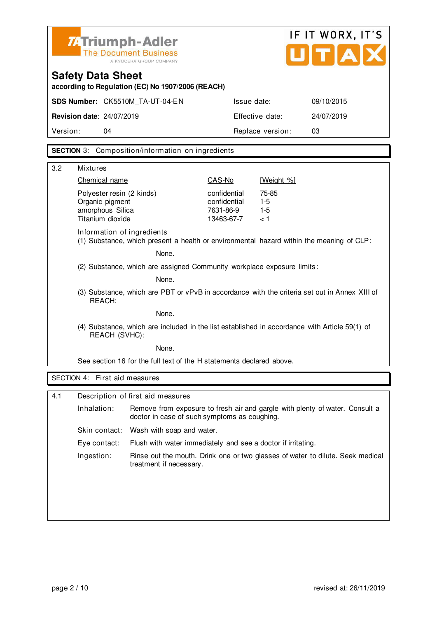|                                  | <b>74 Triumph-Adler</b><br><b>The Document Business</b><br>A KYOCERA GROUP COMPANY |                  | IF IT WORX, IT'S<br>UTAX |
|----------------------------------|------------------------------------------------------------------------------------|------------------|--------------------------|
| <b>Safety Data Sheet</b>         | according to Regulation (EC) No 1907/2006 (REACH)                                  |                  |                          |
|                                  | SDS Number: CK5510M TA-UT-04-EN                                                    | Issue date:      | 09/10/2015               |
| <b>Revision date: 24/07/2019</b> |                                                                                    | Effective date:  | 24/07/2019               |
| Version:                         | 04                                                                                 | Replace version: | 03                       |

**SECTION** 3: Composition/information on ingredients

| 3.2 | <b>Mixtures</b>                                                                                                |                                                                        |              |                                                                                               |  |  |
|-----|----------------------------------------------------------------------------------------------------------------|------------------------------------------------------------------------|--------------|-----------------------------------------------------------------------------------------------|--|--|
|     | Chemical name                                                                                                  |                                                                        | CAS-No       | [Weight %]                                                                                    |  |  |
|     | Polyester resin (2 kinds)                                                                                      |                                                                        | confidential | 75-85                                                                                         |  |  |
|     | Organic pigment                                                                                                |                                                                        | confidential | $1 - 5$                                                                                       |  |  |
|     | amorphous Silica                                                                                               |                                                                        | 7631-86-9    | $1 - 5$                                                                                       |  |  |
|     | Titanium dioxide                                                                                               |                                                                        | 13463-67-7   | < 1                                                                                           |  |  |
|     | Information of ingredients                                                                                     |                                                                        |              | (1) Substance, which present a health or environmental hazard within the meaning of CLP:      |  |  |
|     |                                                                                                                | None.                                                                  |              |                                                                                               |  |  |
|     |                                                                                                                | (2) Substance, which are assigned Community workplace exposure limits: |              |                                                                                               |  |  |
|     |                                                                                                                | None.                                                                  |              |                                                                                               |  |  |
|     | REACH:                                                                                                         |                                                                        |              | (3) Substance, which are PBT or vPvB in accordance with the criteria set out in Annex XIII of |  |  |
|     | None.                                                                                                          |                                                                        |              |                                                                                               |  |  |
|     | (4) Substance, which are included in the list established in accordance with Article 59(1) of<br>REACH (SVHC): |                                                                        |              |                                                                                               |  |  |
|     | None.                                                                                                          |                                                                        |              |                                                                                               |  |  |
|     |                                                                                                                | See section 16 for the full text of the H statements declared above.   |              |                                                                                               |  |  |
|     | SECTION 4: First aid measures                                                                                  |                                                                        |              |                                                                                               |  |  |
|     |                                                                                                                |                                                                        |              |                                                                                               |  |  |
| 4.1 |                                                                                                                | Description of first aid measures                                      |              |                                                                                               |  |  |
|     | Inhalation:                                                                                                    | doctor in case of such symptoms as coughing.                           |              | Remove from exposure to fresh air and gargle with plenty of water. Consult a                  |  |  |
|     | Skin contact:                                                                                                  | Wash with soap and water.                                              |              |                                                                                               |  |  |
|     | Eye contact:                                                                                                   | Flush with water immediately and see a doctor if irritating.           |              |                                                                                               |  |  |
|     | Ingestion:                                                                                                     | treatment if necessary.                                                |              | Rinse out the mouth. Drink one or two glasses of water to dilute. Seek medical                |  |  |
|     |                                                                                                                |                                                                        |              |                                                                                               |  |  |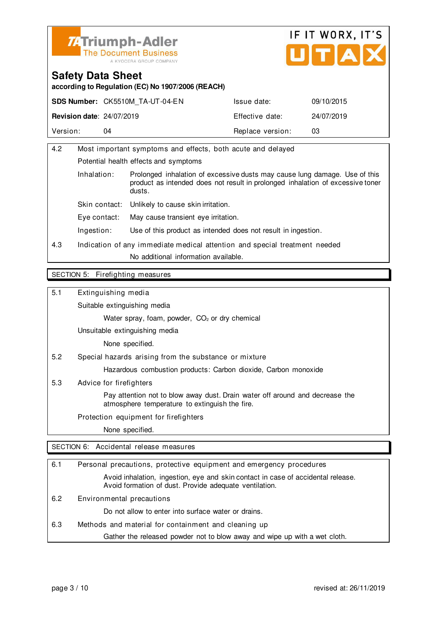



**according to Regulation (EC) No 1907/2006 (REACH)**

|                                  | <b>SDS Number: CK5510M TA-UT-04-EN</b> | Issue date:      | 09/10/2015 |
|----------------------------------|----------------------------------------|------------------|------------|
| <b>Revision date: 24/07/2019</b> |                                        | Effective date:  | 24/07/2019 |
| Version:                         | 04                                     | Replace version: | 03         |

| 4.2 | Most important symptoms and effects, both acute and delayed                |                                                                                                                                                                        |  |  |  |
|-----|----------------------------------------------------------------------------|------------------------------------------------------------------------------------------------------------------------------------------------------------------------|--|--|--|
|     | Potential health effects and symptoms                                      |                                                                                                                                                                        |  |  |  |
|     | Inhalation:                                                                | Prolonged inhalation of excessive dusts may cause lung damage. Use of this<br>product as intended does not result in prolonged inhalation of excessive toner<br>dusts. |  |  |  |
|     | Skin contact:                                                              | Unlikely to cause skin irritation.                                                                                                                                     |  |  |  |
|     | Eve contact:                                                               | May cause transient eye irritation.                                                                                                                                    |  |  |  |
|     | Ingestion:                                                                 | Use of this product as intended does not result in ingestion.                                                                                                          |  |  |  |
| 4.3 | Indication of any immediate medical attention and special treatment needed |                                                                                                                                                                        |  |  |  |
|     | No additional information available.                                       |                                                                                                                                                                        |  |  |  |
|     |                                                                            |                                                                                                                                                                        |  |  |  |

#### SECTION 5: Firefighting measures

5.1 Extinguishing media

Suitable extinguishing media

Water spray, foam, powder, CO<sub>2</sub> or dry chemical

Unsuitable extinguishing media

None specified.

5.2 Special hazards arising from the substance or mixture

Hazardous combustion products: Carbon dioxide, Carbon monoxide

5.3 Advice for firefighters

 Pay attention not to blow away dust. Drain water off around and decrease the atmosphere temperature to extinguish the fire.

Protection equipment for firefighters

None specified.

SECTION 6: Accidental release measures

| 6.1 | Personal precautions, protective equipment and emergency procedures                                                                        |  |  |
|-----|--------------------------------------------------------------------------------------------------------------------------------------------|--|--|
|     | Avoid inhalation, ingestion, eye and skin contact in case of accidental release.<br>Avoid formation of dust. Provide adequate ventilation. |  |  |
| 6.2 | Environmental precautions                                                                                                                  |  |  |
|     | Do not allow to enter into surface water or drains.                                                                                        |  |  |
| 6.3 | Methods and material for containment and cleaning up                                                                                       |  |  |
|     | Gather the released powder not to blow away and wipe up with a wet cloth.                                                                  |  |  |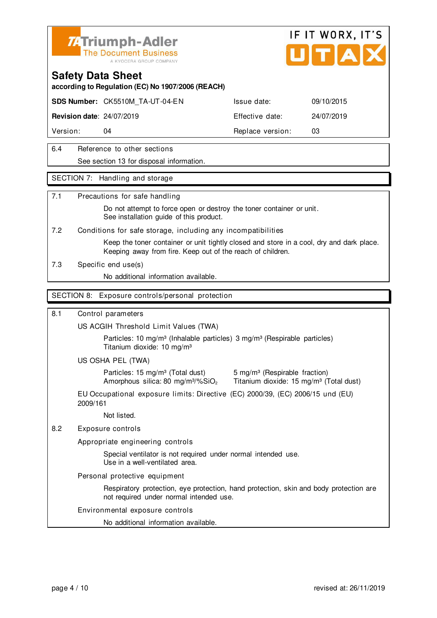

#### **Safety Data Sheet**

**according to Regulation (EC) No 1907/2006 (REACH)**

**SDS Number:** CK5510M\_TA-UT-04-EN Issue date: 09/10/2015

**Revision date**: 24/07/2019 Effective date: 24/07/2019

Version: 04 **Replace version:** 03

#### 6.4 Reference to other sections See section 13 for disposal information.

#### SECTION 7: Handling and storage

#### 7.1 Precautions for safe handling

 Do not attempt to force open or destroy the toner container or unit. See installation guide of this product.

7.2 Conditions for safe storage, including any incompatibilities

 Keep the toner container or unit tightly closed and store in a cool, dry and dark place. Keeping away from fire. Keep out of the reach of children.

7.3 Specific end use(s)

No additional information available.

#### SECTION 8: Exposure controls/personal protection

#### 8.1 Control parameters

US ACGIH Threshold Limit Values (TWA)

Particles: 10 mg/m<sup>3</sup> (Inhalable particles) 3 mg/m<sup>3</sup> (Respirable particles) Titanium dioxide: 10 mg/m³

#### US OSHA PEL (TWA)

Particles: 15 mg/m<sup>3</sup> (Total dust) 5 mg/m<sup>3</sup> (Respirable fraction)

Amorphous silica: 80 mg/m $3\%$ SiO<sub>2</sub> Titanium dioxide: 15 mg/m $3$  (Total dust)

EU Occupational exposure limits: Directive (EC) 2000/39, (EC) 2006/15 und (EU) 2009/161

Not listed.

#### 8.2 Exposure controls

Appropriate engineering controls

 Special ventilator is not required under normal intended use. Use in a well-ventilated area.

Personal protective equipment

 Respiratory protection, eye protection, hand protection, skin and body protection are not required under normal intended use.

#### Environmental exposure controls

No additional information available.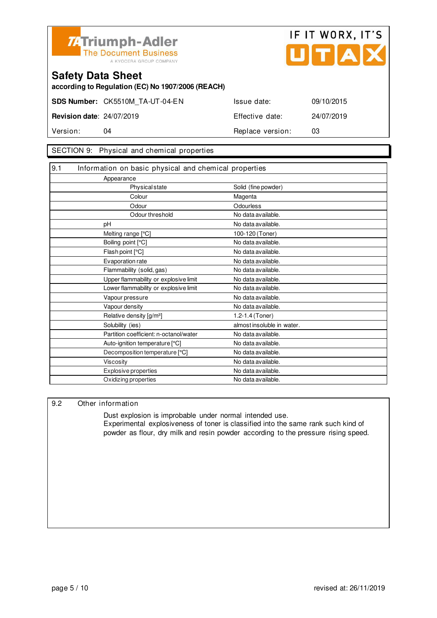



**according to Regulation (EC) No 1907/2006 (REACH)**

**SDS Number:** CK5510M\_TA-UT-04-EN Issue date: 09/10/2015 **Revision date**: 24/07/2019 Effective date: 24/07/2019

Version: 04 **Replace version:** 03

#### SECTION 9: Physical and chemical properties

| 9.1 | Information on basic physical and chemical properties |                            |
|-----|-------------------------------------------------------|----------------------------|
|     | Appearance                                            |                            |
|     | <b>Physical state</b>                                 | Solid (fine powder)        |
|     | Colour                                                | Magenta                    |
|     | Odour                                                 | Odourless                  |
|     | Odour threshold                                       | No data available.         |
|     | pH                                                    | No data available.         |
|     | Melting range [°C]                                    | 100-120 (Toner)            |
|     | Boiling point [°C]                                    | No data available.         |
|     | Flash point [°C]                                      | No data available.         |
|     | Evaporation rate                                      | No data available.         |
|     | Flammability (solid, gas)                             | No data available.         |
|     | Upper flammability or explosive limit                 | No data available.         |
|     | Lower flammability or explosive limit                 | No data available.         |
|     | Vapour pressure                                       | No data available.         |
|     | Vapour density                                        | No data available.         |
|     | Relative density [g/m <sup>3</sup> ]                  | 1.2-1.4 (Toner)            |
|     | Solubility (ies)                                      | almost insoluble in water. |
|     | Partition coefficient: n-octanol/water                | No data available.         |
|     | Auto-ignition temperature [°C]                        | No data available.         |
|     | Decomposition temperature [°C]                        | No data available.         |
|     | <b>Viscosity</b>                                      | No data available.         |
|     | Explosive properties                                  | No data available.         |
|     | Oxidizing properties                                  | No data available.         |

#### 9.2 Other information

 Dust explosion is improbable under normal intended use. Experimental explosiveness of toner is classified into the same rank such kind of powder as flour, dry milk and resin powder according to the pressure rising speed.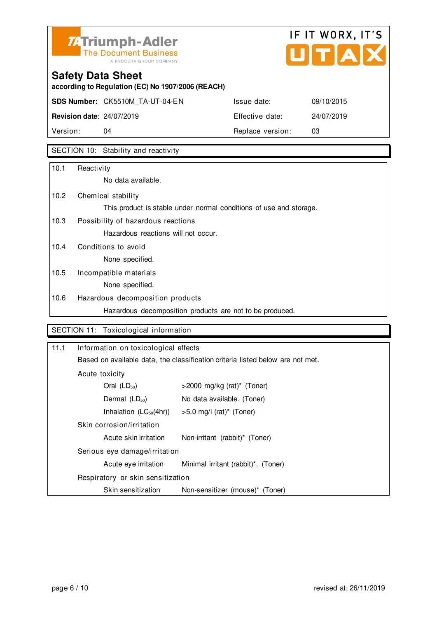

# **Safety Data Sheet**

**according to Regulation (EC) No 1907/2006 (REACH)**

**SDS Number:** CK5510M\_TA-UT-04-EN Issue date: 09/10/2015 **Revision date**: 24/07/2019 Effective date: 24/07/2019 Version: 04 04 Replace version: 03

SECTION 10: Stability and reactivity

| 10.1 | Reactivity                                                         |
|------|--------------------------------------------------------------------|
|      | No data available.                                                 |
| 10.2 | Chemical stability                                                 |
|      | This product is stable under normal conditions of use and storage. |
| 10.3 | Possibility of hazardous reactions                                 |
|      | Hazardous reactions will not occur.                                |
| 10.4 | Conditions to avoid                                                |
|      | None specified.                                                    |
| 10.5 | Incompatible materials                                             |
|      | None specified.                                                    |
| 10.6 | Hazardous decomposition products                                   |
|      | Hazardous decomposition products are not to be produced.           |

#### SECTION 11: Toxicological information

| 11.1 | Information on toxicological effects |                                                                                |  |  |
|------|--------------------------------------|--------------------------------------------------------------------------------|--|--|
|      |                                      | Based on available data, the classification criteria listed below are not met. |  |  |
|      | Acute toxicity                       |                                                                                |  |  |
|      | Oral $(LD_{50})$                     | $>$ 2000 mg/kg (rat)* (Toner)                                                  |  |  |
|      | Dermal $(LD_{50})$                   | No data available. (Toner)                                                     |  |  |
|      | Inhalation $(LC_{50}(4hr))$          | >5.0 mg/l (rat)* (Toner)                                                       |  |  |
|      |                                      |                                                                                |  |  |
|      | Acute skin irritation                | Non-irritant (rabbit)* (Toner)                                                 |  |  |
|      | Serious eye damage/irritation        |                                                                                |  |  |
|      | Acute eye irritation                 | Minimal irritant (rabbit) <sup>*</sup> . (Toner)                               |  |  |
|      | Respiratory or skin sensitization    |                                                                                |  |  |
|      | Skin sensitization                   | Non-sensitizer (mouse)* (Toner)                                                |  |  |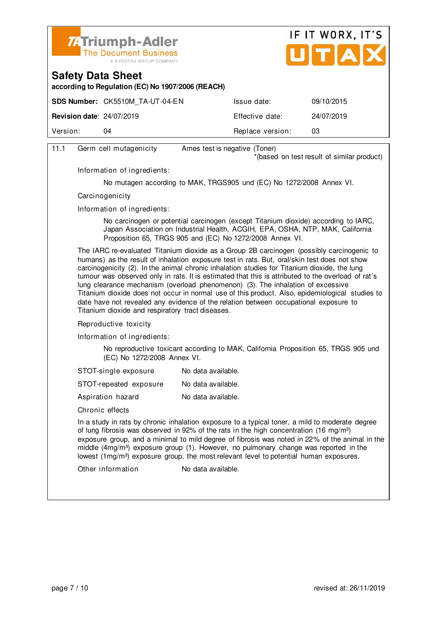



**according to Regulation (EC) No 1907/2006 (REACH)**

|                                  | <b>SDS Number: CK5510M TA-UT-04-EN</b> | Issue date:      | 09/10/2015 |
|----------------------------------|----------------------------------------|------------------|------------|
| <b>Revision date: 24/07/2019</b> |                                        | Effective date:  | 24/07/2019 |
| Version:                         | 04                                     | Replace version: | 03         |
|                                  |                                        |                  |            |

| 11.1 | Germ cell mutagenicity                                                                                                                                                                                                                                                                                                                                                                                                                                                                                                                                                                                                                                                                                                                                                                                                                                                                                         | Ames test is negative (Toner)                                        |  |  |
|------|----------------------------------------------------------------------------------------------------------------------------------------------------------------------------------------------------------------------------------------------------------------------------------------------------------------------------------------------------------------------------------------------------------------------------------------------------------------------------------------------------------------------------------------------------------------------------------------------------------------------------------------------------------------------------------------------------------------------------------------------------------------------------------------------------------------------------------------------------------------------------------------------------------------|----------------------------------------------------------------------|--|--|
|      |                                                                                                                                                                                                                                                                                                                                                                                                                                                                                                                                                                                                                                                                                                                                                                                                                                                                                                                | *(based on test result of similar product)                           |  |  |
|      | Information of ingredients:                                                                                                                                                                                                                                                                                                                                                                                                                                                                                                                                                                                                                                                                                                                                                                                                                                                                                    |                                                                      |  |  |
|      |                                                                                                                                                                                                                                                                                                                                                                                                                                                                                                                                                                                                                                                                                                                                                                                                                                                                                                                | No mutagen according to MAK, TRGS905 und (EC) No 1272/2008 Annex VI. |  |  |
|      | Carcinogenicity<br>Information of ingredients:<br>No carcinogen or potential carcinogen (except Titanium dioxide) according to IARC,<br>Japan Association on Industrial Health, ACGIH, EPA, OSHA, NTP, MAK, California<br>Proposition 65, TRGS 905 and (EC) No 1272/2008 Annex VI.                                                                                                                                                                                                                                                                                                                                                                                                                                                                                                                                                                                                                             |                                                                      |  |  |
|      |                                                                                                                                                                                                                                                                                                                                                                                                                                                                                                                                                                                                                                                                                                                                                                                                                                                                                                                |                                                                      |  |  |
|      |                                                                                                                                                                                                                                                                                                                                                                                                                                                                                                                                                                                                                                                                                                                                                                                                                                                                                                                |                                                                      |  |  |
|      | The IARC re-evaluated Titanium dioxide as a Group 2B carcinogen (possibly carcinogenic to<br>humans) as the result of inhalation exposure test in rats. But, oral/skin test does not show<br>carcinogenicity (2). In the animal chronic inhalation studies for Titanium dioxide, the lung<br>tumour was observed only in rats. It is estimated that this is attributed to the overload of rat's<br>lung clearance mechanism (overload phenomenon) (3). The inhalation of excessive<br>Titanium dioxide does not occur in normal use of this product. Also, epidemiological studies to<br>date have not revealed any evidence of the relation between occupational exposure to<br>Titanium dioxide and respiratory tract diseases.<br>Reproductive toxicity<br>Information of ingredients:<br>No reproductive toxicant according to MAK, California Proposition 65, TRGS 905 und<br>(EC) No 1272/2008 Annex VI. |                                                                      |  |  |
|      |                                                                                                                                                                                                                                                                                                                                                                                                                                                                                                                                                                                                                                                                                                                                                                                                                                                                                                                |                                                                      |  |  |
|      |                                                                                                                                                                                                                                                                                                                                                                                                                                                                                                                                                                                                                                                                                                                                                                                                                                                                                                                |                                                                      |  |  |
|      |                                                                                                                                                                                                                                                                                                                                                                                                                                                                                                                                                                                                                                                                                                                                                                                                                                                                                                                |                                                                      |  |  |
|      | STOT-single exposure                                                                                                                                                                                                                                                                                                                                                                                                                                                                                                                                                                                                                                                                                                                                                                                                                                                                                           | No data available.                                                   |  |  |
|      | STOT-repeated exposure                                                                                                                                                                                                                                                                                                                                                                                                                                                                                                                                                                                                                                                                                                                                                                                                                                                                                         | No data available.                                                   |  |  |
|      | Aspiration hazard                                                                                                                                                                                                                                                                                                                                                                                                                                                                                                                                                                                                                                                                                                                                                                                                                                                                                              | No data available.                                                   |  |  |
|      | Chronic effects                                                                                                                                                                                                                                                                                                                                                                                                                                                                                                                                                                                                                                                                                                                                                                                                                                                                                                |                                                                      |  |  |
|      | In a study in rats by chronic inhalation exposure to a typical toner, a mild to moderate degree<br>of lung fibrosis was observed in 92% of the rats in the high concentration (16 mg/m <sup>3</sup> )<br>exposure group, and a minimal to mild degree of fibrosis was noted in 22% of the animal in the<br>middle (4mg/m <sup>3</sup> ) exposure group (1). However, no pulmonary change was reported in the<br>lowest (1mg/m <sup>3</sup> ) exposure group, the most relevant level to potential human exposures.                                                                                                                                                                                                                                                                                                                                                                                             |                                                                      |  |  |
|      | Other information                                                                                                                                                                                                                                                                                                                                                                                                                                                                                                                                                                                                                                                                                                                                                                                                                                                                                              | No data available.                                                   |  |  |
|      |                                                                                                                                                                                                                                                                                                                                                                                                                                                                                                                                                                                                                                                                                                                                                                                                                                                                                                                |                                                                      |  |  |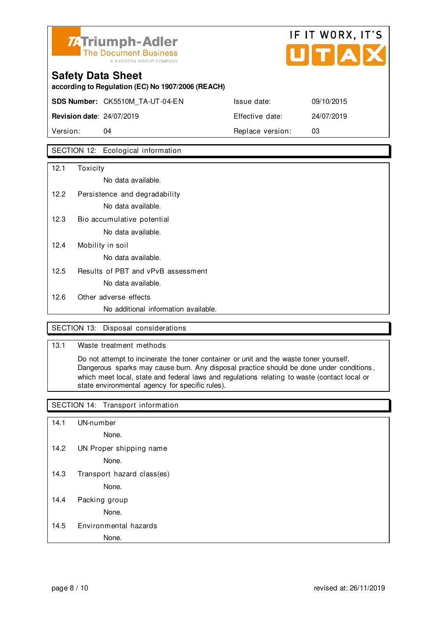

# **Safety Data Sheet according to Regulation (EC) No 1907/2006 (REACH) SDS Number:** CK5510M\_TA-UT-04-EN Issue date: 09/10/2015 **Revision date**: 24/07/2019 Effective date: 24/07/2019 Version: 04 **Replace version:** 03

#### SECTION 12: Ecological information

| 12.1 | Toxicity                             |
|------|--------------------------------------|
|      | No data available.                   |
| 12.2 | Persistence and degradability        |
|      | No data available.                   |
| 12.3 | Bio accumulative potential           |
|      | No data available.                   |
| 12.4 | Mobility in soil                     |
|      | No data available.                   |
| 12.5 | Results of PBT and vPvB assessment   |
|      | No data available.                   |
| 12.6 | Other adverse effects                |
|      | No additional information available. |

#### SECTION 13: Disposal considerations

#### 13.1 Waste treatment methods

 Do not attempt to incinerate the toner container or unit and the waste toner yourself. Dangerous sparks may cause burn. Any disposal practice should be done under conditions , which meet local, state and federal laws and regulations relating to waste (contact local or state environmental agency for specific rules).

#### SECTION 14: Transport information

- 14.1 UN-number
	- None.
- 14.2 UN Proper shipping name

None.

14.3 Transport hazard class(es)

None.

14.4 Packing group

None.

14.5 Environmental hazards

None.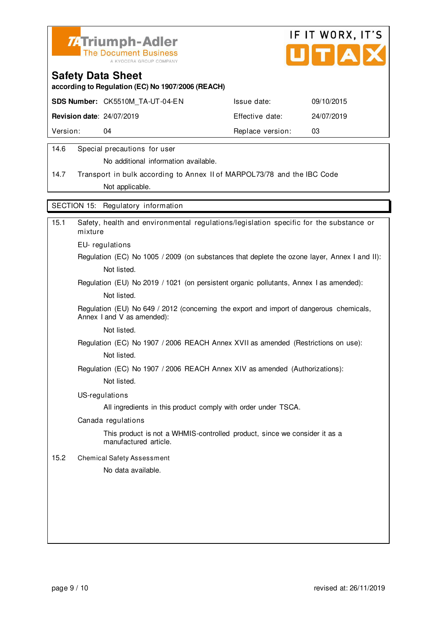



**according to Regulation (EC) No 1907/2006 (REACH)**

|                                  | <b>SDS Number: CK5510M TA-UT-04-EN</b> | Issue date:      | 09/10/2015 |
|----------------------------------|----------------------------------------|------------------|------------|
| <b>Revision date: 24/07/2019</b> |                                        | Effective date:  | 24/07/2019 |
| Version:                         | 04                                     | Replace version: | 03         |
|                                  |                                        |                  |            |

#### 14.6 Special precautions for user

No additional information available.

14.7 Transport in bulk according to Annex II of MARPOL73/78 and the IBC Code Not applicable.

SECTION 15: Regulatory information

| 15.1 | Safety, health and environmental regulations/legislation specific for the substance or<br>mixture                     |
|------|-----------------------------------------------------------------------------------------------------------------------|
|      | EU-regulations                                                                                                        |
|      | Regulation (EC) No 1005 / 2009 (on substances that deplete the ozone layer, Annex I and II):                          |
|      | Not listed.                                                                                                           |
|      | Regulation (EU) No 2019 / 1021 (on persistent organic pollutants, Annex I as amended):                                |
|      | Not listed.                                                                                                           |
|      | Regulation (EU) No 649 / 2012 (concerning the export and import of dangerous chemicals,<br>Annex I and V as amended): |
|      | Not listed.                                                                                                           |
|      | Regulation (EC) No 1907 / 2006 REACH Annex XVII as amended (Restrictions on use):                                     |
|      | Not listed.                                                                                                           |
|      | Regulation (EC) No 1907 / 2006 REACH Annex XIV as amended (Authorizations):                                           |
|      | Not listed.                                                                                                           |
|      | US-regulations                                                                                                        |
|      | All ingredients in this product comply with order under TSCA.                                                         |
|      | Canada regulations                                                                                                    |
|      | This product is not a WHMIS-controlled product, since we consider it as a<br>manufactured article.                    |
| 15.2 | <b>Chemical Safety Assessment</b>                                                                                     |
|      | No data available.                                                                                                    |
|      |                                                                                                                       |
|      |                                                                                                                       |
|      |                                                                                                                       |
|      |                                                                                                                       |
|      |                                                                                                                       |
|      |                                                                                                                       |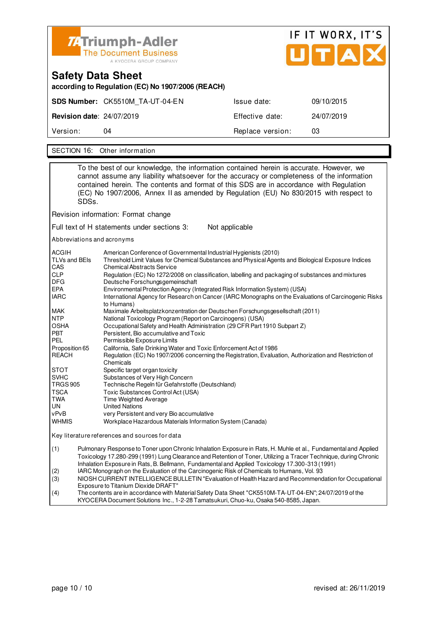

| <b>Safety Data Sheet</b><br>according to Regulation (EC) No 1907/2006 (REACH)                                                                                                                                                                                                                                                                                                      |                                 |                  |            |  |  |
|------------------------------------------------------------------------------------------------------------------------------------------------------------------------------------------------------------------------------------------------------------------------------------------------------------------------------------------------------------------------------------|---------------------------------|------------------|------------|--|--|
|                                                                                                                                                                                                                                                                                                                                                                                    | SDS Number: CK5510M TA-UT-04-EN | Issue date:      | 09/10/2015 |  |  |
| <b>Revision date: 24/07/2019</b>                                                                                                                                                                                                                                                                                                                                                   |                                 | Effective date:  | 24/07/2019 |  |  |
| Version:                                                                                                                                                                                                                                                                                                                                                                           | 04                              | Replace version: | 03         |  |  |
|                                                                                                                                                                                                                                                                                                                                                                                    |                                 |                  |            |  |  |
| SECTION 16: Other information                                                                                                                                                                                                                                                                                                                                                      |                                 |                  |            |  |  |
| To the best of our knowledge, the information contained herein is accurate. However, we<br>cannot assume any liability whatsoever for the accuracy or completeness of the information<br>contained herein. The contents and format of this SDS are in accordance with Regulation<br>(EC) No 1907/2006, Annex II as amended by Regulation (EU) No 830/2015 with respect to<br>SDSs. |                                 |                  |            |  |  |

Revision information: Format change

Full text of H statements under sections 3: Not applicable

Abbreviations and acronyms

| <b>ACGIH</b><br><b>TLVs and BEIs</b><br>CAS |                                                                                                                                                                                                                                                                                                                                      | American Conference of Governmental Industrial Hygienists (2010)<br>Threshold Limit Values for Chemical Substances and Physical Agents and Biological Exposure Indices<br><b>Chemical Abstracts Service</b> |  |  |
|---------------------------------------------|--------------------------------------------------------------------------------------------------------------------------------------------------------------------------------------------------------------------------------------------------------------------------------------------------------------------------------------|-------------------------------------------------------------------------------------------------------------------------------------------------------------------------------------------------------------|--|--|
| <b>CLP</b>                                  |                                                                                                                                                                                                                                                                                                                                      | Regulation (EC) No 1272/2008 on classification, labelling and packaging of substances and mixtures                                                                                                          |  |  |
| <b>DFG</b>                                  |                                                                                                                                                                                                                                                                                                                                      | Deutsche Forschungsgemeinschaft                                                                                                                                                                             |  |  |
| <b>EPA</b>                                  |                                                                                                                                                                                                                                                                                                                                      | Environmental Protection Agency (Integrated Risk Information System) (USA)                                                                                                                                  |  |  |
| <b>IARC</b>                                 |                                                                                                                                                                                                                                                                                                                                      | International Agency for Research on Cancer (IARC Monographs on the Evaluations of Carcinogenic Risks<br>to Humans)                                                                                         |  |  |
| MAK                                         |                                                                                                                                                                                                                                                                                                                                      | Maximale Arbeitsplatzkonzentration der Deutschen Forschungsgesellschaft (2011)                                                                                                                              |  |  |
| <b>NTP</b>                                  |                                                                                                                                                                                                                                                                                                                                      | National Toxicology Program (Report on Carcinogens) (USA)                                                                                                                                                   |  |  |
| <b>OSHA</b>                                 |                                                                                                                                                                                                                                                                                                                                      | Occupational Safety and Health Administration (29 CFR Part 1910 Subpart Z)                                                                                                                                  |  |  |
| <b>PBT</b>                                  |                                                                                                                                                                                                                                                                                                                                      | Persistent, Bio accumulative and Toxic                                                                                                                                                                      |  |  |
| <b>PEL</b>                                  |                                                                                                                                                                                                                                                                                                                                      | Permissible Exposure Limits                                                                                                                                                                                 |  |  |
| Proposition 65                              |                                                                                                                                                                                                                                                                                                                                      | California, Safe Drinking Water and Toxic Enforcement Act of 1986                                                                                                                                           |  |  |
| <b>REACH</b>                                |                                                                                                                                                                                                                                                                                                                                      | Regulation (EC) No 1907/2006 concerning the Registration, Evaluation, Authorization and Restriction of<br>Chemicals                                                                                         |  |  |
| <b>STOT</b>                                 |                                                                                                                                                                                                                                                                                                                                      | Specific target organ toxicity                                                                                                                                                                              |  |  |
| <b>SVHC</b>                                 |                                                                                                                                                                                                                                                                                                                                      | Substances of Very High Concern                                                                                                                                                                             |  |  |
| <b>TRGS 905</b>                             |                                                                                                                                                                                                                                                                                                                                      | Technische Regeln für Gefahrstoffe (Deutschland)                                                                                                                                                            |  |  |
| <b>TSCA</b>                                 |                                                                                                                                                                                                                                                                                                                                      | Toxic Substances Control Act (USA)                                                                                                                                                                          |  |  |
| TWA                                         |                                                                                                                                                                                                                                                                                                                                      | Time Weighted Average                                                                                                                                                                                       |  |  |
| UN                                          |                                                                                                                                                                                                                                                                                                                                      | <b>United Nations</b>                                                                                                                                                                                       |  |  |
| vPvB                                        |                                                                                                                                                                                                                                                                                                                                      | very Persistent and very Bio accumulative                                                                                                                                                                   |  |  |
| <b>WHMIS</b>                                |                                                                                                                                                                                                                                                                                                                                      | Workplace Hazardous Materials Information System (Canada)                                                                                                                                                   |  |  |
|                                             |                                                                                                                                                                                                                                                                                                                                      | Key literature references and sources for data                                                                                                                                                              |  |  |
| (1)                                         | Pulmonary Response to Toner upon Chronic Inhalation Exposure in Rats, H. Muhle et al., Fundamental and Applied<br>Toxicology 17.280-299 (1991) Lung Clearance and Retention of Toner, Utilizing a Tracer Technique, during Chronic<br>Inhalation Exposure in Rats, B. Bellmann, Fundamental and Applied Toxicology 17.300-313 (1991) |                                                                                                                                                                                                             |  |  |
| (2)                                         |                                                                                                                                                                                                                                                                                                                                      | IARC Monograph on the Evaluation of the Carcinogenic Risk of Chemicals to Humans, Vol. 93                                                                                                                   |  |  |
| (3)                                         | NIOSH CURRENT INTELLIGENCE BULLETIN "Evaluation of Health Hazard and Recommendation for Occupational                                                                                                                                                                                                                                 |                                                                                                                                                                                                             |  |  |

Exposure to Titanium Dioxide DRAFT"<br>The contents are in accordance with M The contents are in accordance with Material Safety Data Sheet "CK5510M-TA-UT-04-EN"; 24/07/2019 of the KYOCERA Document Solutions Inc., 1-2-28 Tamatsukuri, Chuo-ku, Osaka 540-8585, Japan.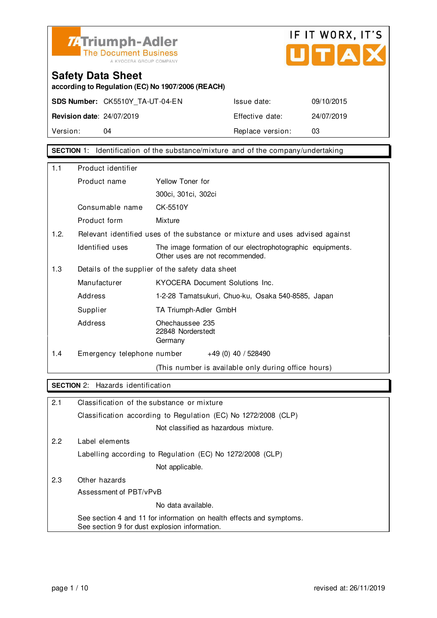



**according to Regulation (EC) No 1907/2006 (REACH)**

**SDS Number:** CK5510Y\_TA-UT-04-EN Issue date: 09/10/2015

**Revision date**: 24/07/2019 Effective date: 24/07/2019 Version: 04 04 Replace version: 03

**SECTION** 1: Identification of the substance/mixture and of the company/undertaking

| 1.1  | Product identifier         |                                                                                               |  |
|------|----------------------------|-----------------------------------------------------------------------------------------------|--|
|      | Product name               | Yellow Toner for                                                                              |  |
|      |                            | 300ci, 301ci, 302ci                                                                           |  |
|      | Consumable name            | CK-5510Y                                                                                      |  |
|      | Product form               | Mixture                                                                                       |  |
| 1.2. |                            | Relevant identified uses of the substance or mixture and uses advised against                 |  |
|      | Identified uses            | The image formation of our electrophotographic equipments.<br>Other uses are not recommended. |  |
| 1.3  |                            | Details of the supplier of the safety data sheet                                              |  |
|      | Manufacturer               | KYOCERA Document Solutions Inc.                                                               |  |
|      | Address                    | 1-2-28 Tamatsukuri, Chuo-ku, Osaka 540-8585, Japan                                            |  |
|      | Supplier                   | TA Triumph-Adler GmbH                                                                         |  |
|      | Address                    | Ohechaussee 235<br>22848 Norderstedt<br>Germany                                               |  |
| 1.4  | Emergency telephone number | $+49(0)$ 40 / 528490                                                                          |  |
|      |                            | (This number is available only during office hours)                                           |  |

#### **SECTION** 2: Hazards identification

| 2.1 | Classification of the substance or mixture                                                                            |
|-----|-----------------------------------------------------------------------------------------------------------------------|
|     | Classification according to Regulation (EC) No 1272/2008 (CLP)                                                        |
|     | Not classified as hazardous mixture.                                                                                  |
| 2.2 | Label elements                                                                                                        |
|     | Labelling according to Regulation (EC) No 1272/2008 (CLP)                                                             |
|     | Not applicable.                                                                                                       |
| 2.3 | Other hazards                                                                                                         |
|     | Assessment of PBT/vPvB                                                                                                |
|     | No data available.                                                                                                    |
|     | See section 4 and 11 for information on health effects and symptoms.<br>See section 9 for dust explosion information. |
|     |                                                                                                                       |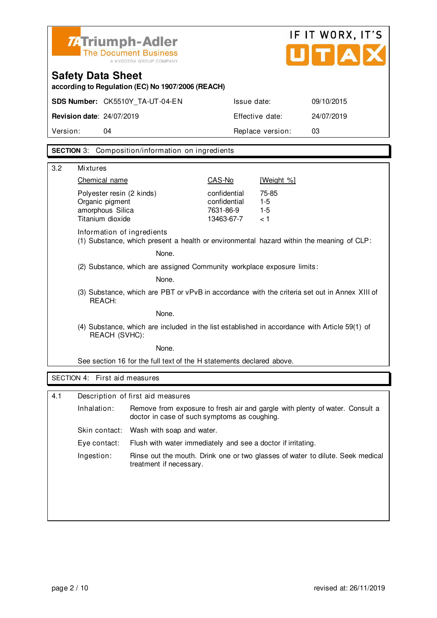| Z:Triumph-Adler<br><b>The Document Business</b> |
|-------------------------------------------------|
| A KYOCERA GROUP COMPANY                         |



**according to Regulation (EC) No 1907/2006 (REACH)**

| Version:                         | 04                              | Replace version: | 03         |
|----------------------------------|---------------------------------|------------------|------------|
| <b>Revision date: 24/07/2019</b> |                                 | Effective date:  | 24/07/2019 |
|                                  | SDS Number: CK5510Y TA-UT-04-EN | Issue date:      | 09/10/2015 |

#### **SECTION** 3: Composition/information on ingredients

| 3.2 | <b>Mixtures</b>                                                                                                        |                                                                        |                                                         |                                                                                |  |
|-----|------------------------------------------------------------------------------------------------------------------------|------------------------------------------------------------------------|---------------------------------------------------------|--------------------------------------------------------------------------------|--|
|     | Chemical name                                                                                                          |                                                                        | CAS-No                                                  | [Weight %]                                                                     |  |
|     | Polyester resin (2 kinds)<br>Organic pigment<br>amorphous Silica<br>Titanium dioxide                                   |                                                                        | confidential<br>confidential<br>7631-86-9<br>13463-67-7 | 75-85<br>$1 - 5$<br>$1 - 5$<br>< 1                                             |  |
|     | Information of ingredients<br>(1) Substance, which present a health or environmental hazard within the meaning of CLP: |                                                                        |                                                         |                                                                                |  |
|     |                                                                                                                        | None.                                                                  |                                                         |                                                                                |  |
|     |                                                                                                                        | (2) Substance, which are assigned Community workplace exposure limits: |                                                         |                                                                                |  |
|     |                                                                                                                        | None.                                                                  |                                                         |                                                                                |  |
|     | (3) Substance, which are PBT or vPvB in accordance with the criteria set out in Annex XIII of<br>REACH:                |                                                                        |                                                         |                                                                                |  |
|     | None.                                                                                                                  |                                                                        |                                                         |                                                                                |  |
|     | (4) Substance, which are included in the list established in accordance with Article 59(1) of<br>REACH (SVHC):         |                                                                        |                                                         |                                                                                |  |
|     | None.                                                                                                                  |                                                                        |                                                         |                                                                                |  |
|     | See section 16 for the full text of the H statements declared above.                                                   |                                                                        |                                                         |                                                                                |  |
|     | SECTION 4: First aid measures                                                                                          |                                                                        |                                                         |                                                                                |  |
|     |                                                                                                                        |                                                                        |                                                         |                                                                                |  |
| 4.1 |                                                                                                                        | Description of first aid measures                                      |                                                         |                                                                                |  |
|     | Inhalation:                                                                                                            | doctor in case of such symptoms as coughing.                           |                                                         | Remove from exposure to fresh air and gargle with plenty of water. Consult a   |  |
|     | Skin contact:                                                                                                          | Wash with soap and water.                                              |                                                         |                                                                                |  |
|     | Eye contact:                                                                                                           | Flush with water immediately and see a doctor if irritating.           |                                                         |                                                                                |  |
|     | Ingestion:                                                                                                             | treatment if necessary.                                                |                                                         | Rinse out the mouth. Drink one or two glasses of water to dilute. Seek medical |  |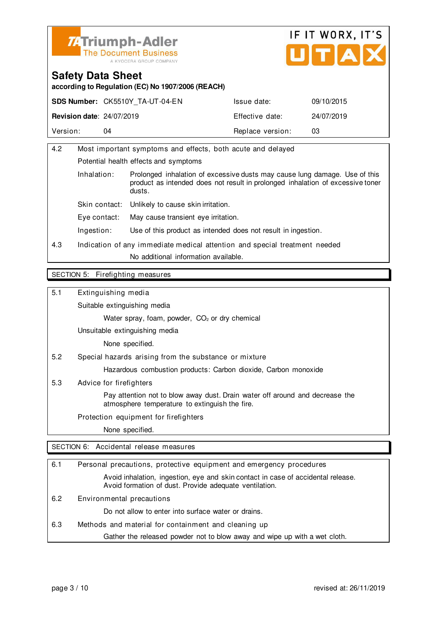



**according to Regulation (EC) No 1907/2006 (REACH)**

|                                  | <b>SDS Number: CK5510Y TA-UT-04-EN</b> | Issue date:      | 09/10/2015 |
|----------------------------------|----------------------------------------|------------------|------------|
| <b>Revision date: 24/07/2019</b> |                                        | Effective date:  | 24/07/2019 |
| Version:                         | 04                                     | Replace version: | 03         |

| 4.2 | Most important symptoms and effects, both acute and delayed |                                                                                                                                                                        |  |
|-----|-------------------------------------------------------------|------------------------------------------------------------------------------------------------------------------------------------------------------------------------|--|
|     | Potential health effects and symptoms                       |                                                                                                                                                                        |  |
|     | Inhalation:                                                 | Prolonged inhalation of excessive dusts may cause lung damage. Use of this<br>product as intended does not result in prolonged inhalation of excessive toner<br>dusts. |  |
|     | Skin contact:                                               | Unlikely to cause skin irritation.                                                                                                                                     |  |
|     | Eve contact:                                                | May cause transient eye irritation.                                                                                                                                    |  |
|     | Ingestion:                                                  | Use of this product as intended does not result in ingestion.                                                                                                          |  |
| 4.3 |                                                             | Indication of any immediate medical attention and special treatment needed                                                                                             |  |
|     |                                                             | No additional information available.                                                                                                                                   |  |
|     |                                                             |                                                                                                                                                                        |  |

#### SECTION 5: Firefighting measures

5.1 Extinguishing media

Suitable extinguishing media

Water spray, foam, powder, CO<sub>2</sub> or dry chemical

Unsuitable extinguishing media

None specified.

5.2 Special hazards arising from the substance or mixture

Hazardous combustion products: Carbon dioxide, Carbon monoxide

5.3 Advice for firefighters

 Pay attention not to blow away dust. Drain water off around and decrease the atmosphere temperature to extinguish the fire.

Protection equipment for firefighters

None specified.

SECTION 6: Accidental release measures

| 6.1 | Personal precautions, protective equipment and emergency procedures                                                                        |
|-----|--------------------------------------------------------------------------------------------------------------------------------------------|
|     | Avoid inhalation, ingestion, eye and skin contact in case of accidental release.<br>Avoid formation of dust. Provide adequate ventilation. |
| 6.2 | Environmental precautions                                                                                                                  |
|     | Do not allow to enter into surface water or drains.                                                                                        |
| 6.3 | Methods and material for containment and cleaning up                                                                                       |
|     | Gather the released powder not to blow away and wipe up with a wet cloth.                                                                  |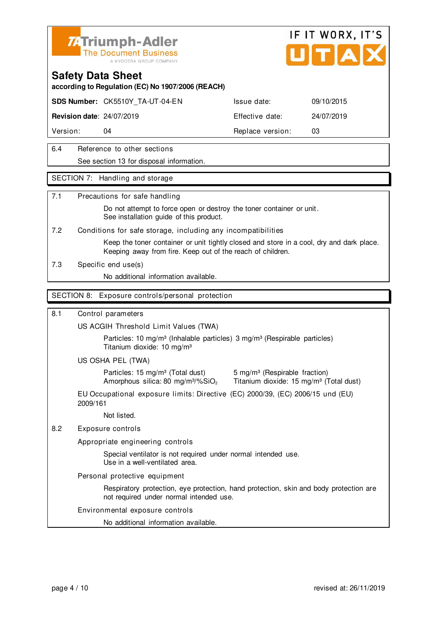

#### **Safety Data Sheet**

**according to Regulation (EC) No 1907/2006 (REACH)**

**SDS Number:** CK5510Y\_TA-UT-04-EN Issue date: 09/10/2015

**Revision date**: 24/07/2019 Effective date: 24/07/2019

Version: 04 **Replace version:** 03

6.4 Reference to other sections See section 13 for disposal information.

#### SECTION 7: Handling and storage

#### 7.1 Precautions for safe handling

 Do not attempt to force open or destroy the toner container or unit. See installation guide of this product.

7.2 Conditions for safe storage, including any incompatibilities

 Keep the toner container or unit tightly closed and store in a cool, dry and dark place. Keeping away from fire. Keep out of the reach of children.

7.3 Specific end use(s)

No additional information available.

#### SECTION 8: Exposure controls/personal protection

#### 8.1 Control parameters

US ACGIH Threshold Limit Values (TWA)

Particles: 10 mg/m<sup>3</sup> (Inhalable particles) 3 mg/m<sup>3</sup> (Respirable particles) Titanium dioxide: 10 mg/m³

US OSHA PEL (TWA)

Particles: 15 mg/m<sup>3</sup> (Total dust) 5 mg/m<sup>3</sup> (Respirable fraction)

Amorphous silica: 80 mg/m $3\%$ SiO<sub>2</sub> Titanium dioxide: 15 mg/m $3$  (Total dust)

EU Occupational exposure limits: Directive (EC) 2000/39, (EC) 2006/15 und (EU) 2009/161

Not listed.

#### 8.2 Exposure controls

Appropriate engineering controls

 Special ventilator is not required under normal intended use. Use in a well-ventilated area.

Personal protective equipment

 Respiratory protection, eye protection, hand protection, skin and body protection are not required under normal intended use.

#### Environmental exposure controls

No additional information available.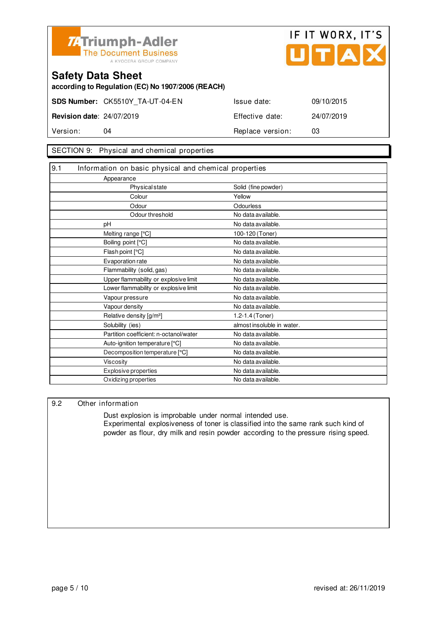



**according to Regulation (EC) No 1907/2006 (REACH)**

| Version:                         | 04                              | Replace version: | 03         |
|----------------------------------|---------------------------------|------------------|------------|
| <b>Revision date: 24/07/2019</b> |                                 | Effective date:  | 24/07/2019 |
|                                  | SDS Number: CK5510Y TA-UT-04-EN | Issue date:      | 09/10/2015 |

#### SECTION 9: Physical and chemical properties

| 9.1 | Information on basic physical and chemical properties |                            |
|-----|-------------------------------------------------------|----------------------------|
|     | Appearance                                            |                            |
|     | Physical state                                        | Solid (fine powder)        |
|     | Colour                                                | Yellow                     |
|     | Odour                                                 | Odourless                  |
|     | Odour threshold                                       | No data available.         |
|     | pН                                                    | No data available.         |
|     | Melting range [°C]                                    | 100-120 (Toner)            |
|     | Boiling point [°C]                                    | No data available.         |
|     | Flash point [°C]                                      | No data available.         |
|     | Evaporation rate                                      | No data available.         |
|     | Flammability (solid, gas)                             | No data available.         |
|     | Upper flammability or explosive limit                 | No data available.         |
|     | Lower flammability or explosive limit                 | No data available.         |
|     | Vapour pressure                                       | No data available.         |
|     | Vapour density                                        | No data available.         |
|     | Relative density [g/m <sup>3</sup> ]                  | 1.2-1.4 (Toner)            |
|     | Solubility (ies)                                      | almost insoluble in water. |
|     | Partition coefficient: n-octanol/water                | No data available.         |
|     | Auto-ignition temperature [°C]                        | No data available.         |
|     | Decomposition temperature [°C]                        | No data available.         |
|     | <b>Viscosity</b>                                      | No data available.         |
|     | <b>Explosive properties</b>                           | No data available.         |
|     | Oxidizing properties                                  | No data available.         |

#### 9.2 Other information

 Dust explosion is improbable under normal intended use. Experimental explosiveness of toner is classified into the same rank such kind of powder as flour, dry milk and resin powder according to the pressure rising speed.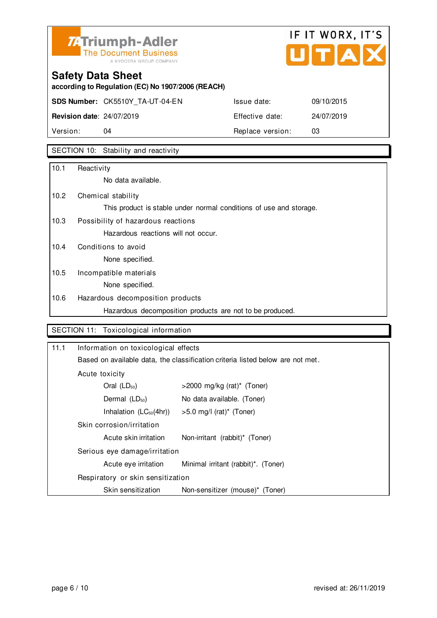

# IF IT WORX, IT'S UTAX

# **Safety Data Sheet**

**according to Regulation (EC) No 1907/2006 (REACH)**

|                                  | SDS Number: CK5510Y TA-UT-04-EN | Issue date:      | 09/10/2015 |
|----------------------------------|---------------------------------|------------------|------------|
| <b>Revision date: 24/07/2019</b> |                                 | Effective date:  | 24/07/2019 |
| Version:                         | 04                              | Replace version: | 03         |

### SECTION 10: Stability and reactivity

| No data available.                                                 |
|--------------------------------------------------------------------|
| Chemical stability                                                 |
| This product is stable under normal conditions of use and storage. |
| Possibility of hazardous reactions                                 |
| Hazardous reactions will not occur.                                |
| Conditions to avoid                                                |
| None specified.                                                    |
| Incompatible materials                                             |
| None specified.                                                    |
| Hazardous decomposition products                                   |
| Hazardous decomposition products are not to be produced.           |
|                                                                    |

#### SECTION 11: Toxicological information

| 11.1 | Information on toxicological effects |                                                                                |  |
|------|--------------------------------------|--------------------------------------------------------------------------------|--|
|      |                                      | Based on available data, the classification criteria listed below are not met. |  |
|      | Acute toxicity                       |                                                                                |  |
|      | Oral $(LD_{50})$                     | $>$ 2000 mg/kg (rat)* (Toner)                                                  |  |
|      | Dermal $(LD_{50})$                   | No data available. (Toner)                                                     |  |
|      | Inhalation $(LC_{50}(4hr))$          | $>5.0$ mg/l (rat) <sup>*</sup> (Toner)                                         |  |
|      | Skin corrosion/irritation            |                                                                                |  |
|      | Acute skin irritation                | Non-irritant (rabbit)* (Toner)                                                 |  |
|      | Serious eye damage/irritation        |                                                                                |  |
|      | Acute eye irritation                 | Minimal irritant (rabbit)*. (Toner)                                            |  |
|      | Respiratory or skin sensitization    |                                                                                |  |
|      | Skin sensitization                   | Non-sensitizer (mouse)* (Toner)                                                |  |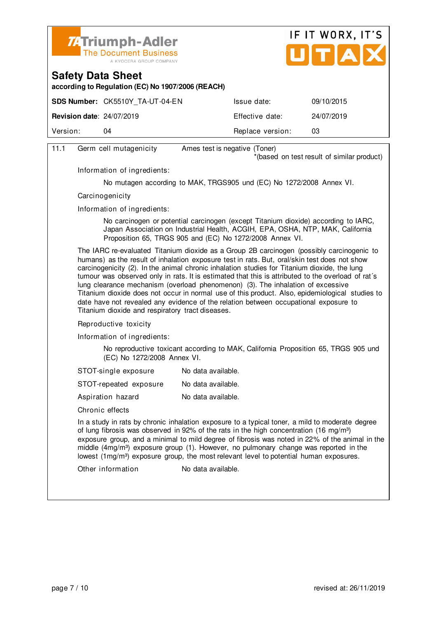



**according to Regulation (EC) No 1907/2006 (REACH)**

|                                  | <b>SDS Number: CK5510Y TA-UT-04-EN</b> | Issue date:      | 09/10/2015 |
|----------------------------------|----------------------------------------|------------------|------------|
| <b>Revision date: 24/07/2019</b> |                                        | Effective date:  | 24/07/2019 |
| Version:                         | 04                                     | Replace version: | 03         |
|                                  |                                        |                  |            |

| 11.1 | Germ cell mutagenicity                                                                                                                                                                                                                                                                                                                                                                                                                                                                                             | Ames test is negative (Toner)                                                                                                                                                                                                                                                                                                                                                                                                                                                                                                                                                                                                                                                 |  |
|------|--------------------------------------------------------------------------------------------------------------------------------------------------------------------------------------------------------------------------------------------------------------------------------------------------------------------------------------------------------------------------------------------------------------------------------------------------------------------------------------------------------------------|-------------------------------------------------------------------------------------------------------------------------------------------------------------------------------------------------------------------------------------------------------------------------------------------------------------------------------------------------------------------------------------------------------------------------------------------------------------------------------------------------------------------------------------------------------------------------------------------------------------------------------------------------------------------------------|--|
|      |                                                                                                                                                                                                                                                                                                                                                                                                                                                                                                                    | *(based on test result of similar product)                                                                                                                                                                                                                                                                                                                                                                                                                                                                                                                                                                                                                                    |  |
|      | Information of ingredients:                                                                                                                                                                                                                                                                                                                                                                                                                                                                                        |                                                                                                                                                                                                                                                                                                                                                                                                                                                                                                                                                                                                                                                                               |  |
|      |                                                                                                                                                                                                                                                                                                                                                                                                                                                                                                                    | No mutagen according to MAK, TRGS905 und (EC) No 1272/2008 Annex VI.                                                                                                                                                                                                                                                                                                                                                                                                                                                                                                                                                                                                          |  |
|      | Carcinogenicity                                                                                                                                                                                                                                                                                                                                                                                                                                                                                                    |                                                                                                                                                                                                                                                                                                                                                                                                                                                                                                                                                                                                                                                                               |  |
|      | Information of ingredients:                                                                                                                                                                                                                                                                                                                                                                                                                                                                                        |                                                                                                                                                                                                                                                                                                                                                                                                                                                                                                                                                                                                                                                                               |  |
|      |                                                                                                                                                                                                                                                                                                                                                                                                                                                                                                                    | No carcinogen or potential carcinogen (except Titanium dioxide) according to IARC,<br>Japan Association on Industrial Health, ACGIH, EPA, OSHA, NTP, MAK, California<br>Proposition 65, TRGS 905 and (EC) No 1272/2008 Annex VI.                                                                                                                                                                                                                                                                                                                                                                                                                                              |  |
|      | Titanium dioxide and respiratory tract diseases.                                                                                                                                                                                                                                                                                                                                                                                                                                                                   | The IARC re-evaluated Titanium dioxide as a Group 2B carcinogen (possibly carcinogenic to<br>humans) as the result of inhalation exposure test in rats. But, oral/skin test does not show<br>carcinogenicity (2). In the animal chronic inhalation studies for Titanium dioxide, the lung<br>tumour was observed only in rats. It is estimated that this is attributed to the overload of rat's<br>lung clearance mechanism (overload phenomenon) (3). The inhalation of excessive<br>Titanium dioxide does not occur in normal use of this product. Also, epidemiological studies to<br>date have not revealed any evidence of the relation between occupational exposure to |  |
|      | Reproductive toxicity                                                                                                                                                                                                                                                                                                                                                                                                                                                                                              |                                                                                                                                                                                                                                                                                                                                                                                                                                                                                                                                                                                                                                                                               |  |
|      | Information of ingredients:                                                                                                                                                                                                                                                                                                                                                                                                                                                                                        |                                                                                                                                                                                                                                                                                                                                                                                                                                                                                                                                                                                                                                                                               |  |
|      | (EC) No 1272/2008 Annex VI.                                                                                                                                                                                                                                                                                                                                                                                                                                                                                        | No reproductive toxicant according to MAK, California Proposition 65, TRGS 905 und                                                                                                                                                                                                                                                                                                                                                                                                                                                                                                                                                                                            |  |
|      | STOT-single exposure                                                                                                                                                                                                                                                                                                                                                                                                                                                                                               | No data available.                                                                                                                                                                                                                                                                                                                                                                                                                                                                                                                                                                                                                                                            |  |
|      | STOT-repeated exposure                                                                                                                                                                                                                                                                                                                                                                                                                                                                                             | No data available.                                                                                                                                                                                                                                                                                                                                                                                                                                                                                                                                                                                                                                                            |  |
|      | Aspiration hazard                                                                                                                                                                                                                                                                                                                                                                                                                                                                                                  | No data available.                                                                                                                                                                                                                                                                                                                                                                                                                                                                                                                                                                                                                                                            |  |
|      | Chronic effects                                                                                                                                                                                                                                                                                                                                                                                                                                                                                                    |                                                                                                                                                                                                                                                                                                                                                                                                                                                                                                                                                                                                                                                                               |  |
|      | In a study in rats by chronic inhalation exposure to a typical toner, a mild to moderate degree<br>of lung fibrosis was observed in 92% of the rats in the high concentration (16 mg/m <sup>3</sup> )<br>exposure group, and a minimal to mild degree of fibrosis was noted in 22% of the animal in the<br>middle (4mg/m <sup>3</sup> ) exposure group (1). However, no pulmonary change was reported in the<br>lowest (1mg/m <sup>3</sup> ) exposure group, the most relevant level to potential human exposures. |                                                                                                                                                                                                                                                                                                                                                                                                                                                                                                                                                                                                                                                                               |  |
|      | Other information                                                                                                                                                                                                                                                                                                                                                                                                                                                                                                  | No data available.                                                                                                                                                                                                                                                                                                                                                                                                                                                                                                                                                                                                                                                            |  |
|      |                                                                                                                                                                                                                                                                                                                                                                                                                                                                                                                    |                                                                                                                                                                                                                                                                                                                                                                                                                                                                                                                                                                                                                                                                               |  |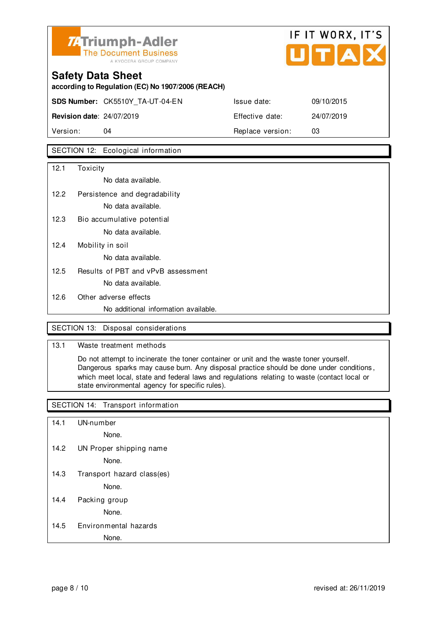

# **Safety Data Sheet according to Regulation (EC) No 1907/2006 (REACH) SDS Number:** CK5510Y\_TA-UT-04-EN Issue date: 09/10/2015 **Revision date**: 24/07/2019 Effective date: 24/07/2019 Version: 04 **Replace version:** 03

#### SECTION 12: Ecological information

| 12.1 | Toxicity                             |
|------|--------------------------------------|
|      | No data available.                   |
| 12.2 | Persistence and degradability        |
|      | No data available.                   |
| 12.3 | Bio accumulative potential           |
|      | No data available.                   |
| 12.4 | Mobility in soil                     |
|      | No data available.                   |
| 12.5 | Results of PBT and vPvB assessment   |
|      | No data available.                   |
| 12.6 | Other adverse effects                |
|      | No additional information available. |
|      |                                      |

#### SECTION 13: Disposal considerations

#### 13.1 Waste treatment methods

 Do not attempt to incinerate the toner container or unit and the waste toner yourself. Dangerous sparks may cause burn. Any disposal practice should be done under conditions , which meet local, state and federal laws and regulations relating to waste (contact local or state environmental agency for specific rules).

#### SECTION 14: Transport information

- 14.1 UN-number
	- None.
- 14.2 UN Proper shipping name

None.

14.3 Transport hazard class(es)

None.

14.4 Packing group

None.

#### 14.5 Environmental hazards

None.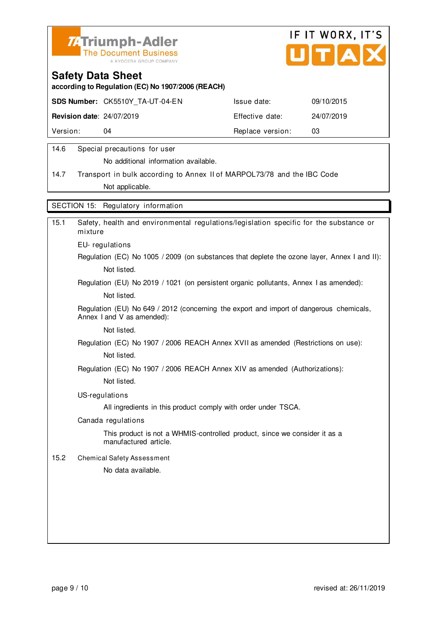



**according to Regulation (EC) No 1907/2006 (REACH)**

|                                  | <b>SDS Number: CK5510Y TA-UT-04-EN</b> | Issue date:      | 09/10/2015 |
|----------------------------------|----------------------------------------|------------------|------------|
| <b>Revision date: 24/07/2019</b> |                                        | Effective date:  | 24/07/2019 |
| Version:                         | 04                                     | Replace version: | 03         |
|                                  |                                        |                  |            |

#### 14.6 Special precautions for user

No additional information available.

14.7 Transport in bulk according to Annex II of MARPOL73/78 and the IBC Code Not applicable.

SECTION 15: Regulatory information

| Safety, health and environmental regulations/legislation specific for the substance or<br>mixture                     |
|-----------------------------------------------------------------------------------------------------------------------|
| EU-regulations                                                                                                        |
| Regulation (EC) No 1005 / 2009 (on substances that deplete the ozone layer, Annex I and II):                          |
| Not listed.                                                                                                           |
| Regulation (EU) No 2019 / 1021 (on persistent organic pollutants, Annex I as amended):                                |
| Not listed.                                                                                                           |
| Regulation (EU) No 649 / 2012 (concerning the export and import of dangerous chemicals,<br>Annex I and V as amended): |
| Not listed.                                                                                                           |
| Regulation (EC) No 1907 / 2006 REACH Annex XVII as amended (Restrictions on use):                                     |
| Not listed.                                                                                                           |
| Regulation (EC) No 1907 / 2006 REACH Annex XIV as amended (Authorizations):                                           |
| Not listed.                                                                                                           |
| US-regulations                                                                                                        |
| All ingredients in this product comply with order under TSCA.                                                         |
| Canada regulations                                                                                                    |
| This product is not a WHMIS-controlled product, since we consider it as a<br>manufactured article.                    |
| <b>Chemical Safety Assessment</b>                                                                                     |
| No data available.                                                                                                    |
|                                                                                                                       |
|                                                                                                                       |
|                                                                                                                       |
|                                                                                                                       |
|                                                                                                                       |
|                                                                                                                       |